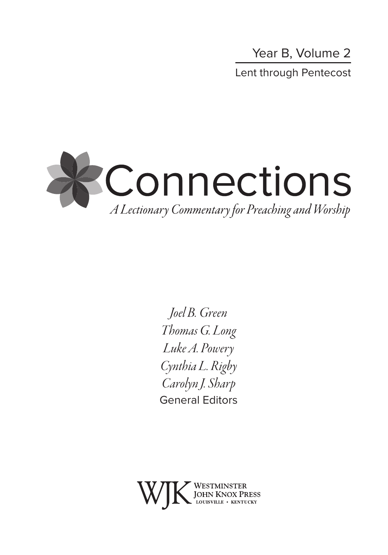Year B, Volume 2

Lent through Pentecost



*Joel B. Green Thomas G. Long Luke A. Powery Cynthia L. Rigby Carolyn J. Sharp* General Editors

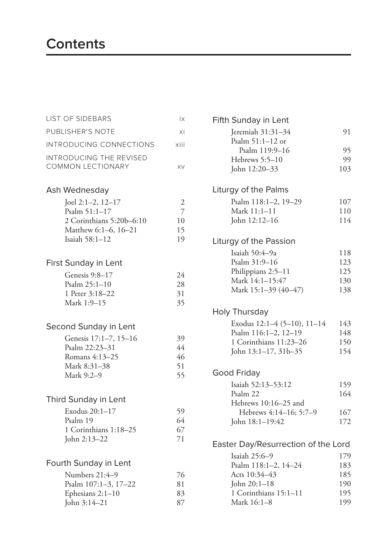# **Contents**

| <b>LIST OF SIDEBARS</b>                             | iх       |
|-----------------------------------------------------|----------|
| <b>PUBLISHER'S NOTE</b>                             | хi       |
| INTRODUCING CONNECTIONS                             | xiii     |
| INTRODUCING THE REVISED<br><b>COMMON LECTIONARY</b> | XV       |
| Ash Wednesday                                       |          |
| Joel 2:1-2, 12-17<br>Psalm 51:1-17                  | 2<br>7   |
| 2 Corinthians 5:20b-6:10                            | 10       |
| Matthew 6:1-6, 16-21                                | 15       |
| Isaiah 58:1-12                                      | 19       |
| <b>First Sunday in Lent</b>                         |          |
| Genesis 9:8-17                                      | 24       |
| Psalm 25:1-10                                       | 28       |
| 1 Peter 3:18-22                                     | 31       |
| Mark 1:9-15                                         | 35       |
| Second Sunday in Lent                               |          |
| Genesis 17:1-7, 15-16                               | 39       |
| Psalm 22:23-31                                      | 44       |
| Romans 4:13-25<br>Mark 8:31-38                      | 46<br>51 |
| Mark 9:2-9                                          | 55       |
|                                                     |          |
| Third Sunday in Lent                                |          |
| Exodus 20:1-17                                      | 59       |
| Psalm 19<br>1 Corinthians 1:18-25                   | 64<br>67 |
| John 2:13-22                                        | 71       |
| Fourth Sunday in Lent                               |          |
| Numbers 21:4-9                                      | 76       |
| Psalm 107:1-3, 17-22                                | 81       |
| Ephesians 2:1-10                                    | 83       |
| John 3:14-21                                        | 87       |

| Fifth Sunday in Lent                |     |
|-------------------------------------|-----|
| Jeremiah 31:31-34                   | 91  |
| Psalm 51:1-12 or                    |     |
| Psalm 119:9-16                      | 95  |
| Hebrews 5:5-10                      | 99  |
| John 12:20-33                       | 103 |
| Liturgy of the Palms                |     |
| Psalm 118:1-2, 19-29                | 107 |
| Mark 11:1-11                        | 110 |
| John 12:12-16                       | 114 |
| Liturgy of the Passion              |     |
| Isaiah 50:4-9a                      | 118 |
| Psalm 31:9-16                       | 123 |
| Philippians 2:5-11                  | 125 |
| Mark 14:1-15:47                     | 130 |
| Mark 15:1-39 (40-47)                | 138 |
| <b>Holy Thursday</b>                |     |
| Exodus 12:1-4 (5-10), 11-14         | 143 |
| Psalm 116:1-2, 12-19                | 148 |
| 1 Corinthians 11:23-26              | 150 |
| John 13:1-17, 31b-35                | 154 |
| Good Friday                         |     |
| Isaiah 52:13-53:12                  | 159 |
| Psalm 22                            | 164 |
| Hebrews 10:16-25 and                |     |
| Hebrews 4:14-16; 5:7-9              | 167 |
| John 18:1-19:42                     | 172 |
| Easter Day/Resurrection of the Lord |     |
| Isaiah 25:6-9                       | 179 |
| Psalm 118:1-2, 14-24                | 183 |
| Acts 10:34-43                       | 185 |
| John 20:1-18                        | 190 |
| 1 Corinthians 15:1-11               | 195 |
| Mark 16:1-8                         | 199 |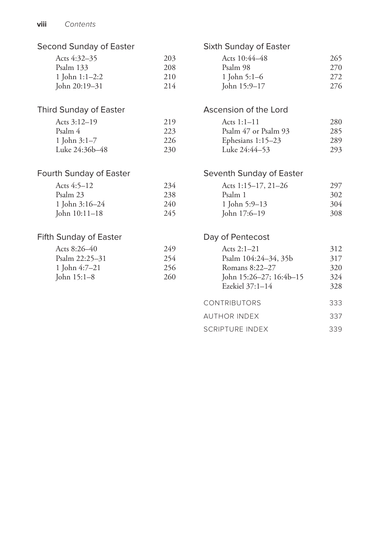# Second Sunday of Easter

| Acts 4:32–35   | 203 |
|----------------|-----|
| Psalm 133      | 208 |
| 1 John 1:1–2:2 | 210 |
| John 20:19–31  | 214 |
|                |     |

#### Third Sunday of Easter

| Acts 3:12–19   | 219 |
|----------------|-----|
| Psalm 4        | 223 |
| 1 John $3:1-7$ | 226 |
| Luke 24:36b-48 | 230 |

#### Fourth Sunday of Easter

| 234 |
|-----|
| 238 |
| 240 |
| 245 |
|     |

### Fifth Sunday of Easter

| Acts 8:26–40    | 249 |
|-----------------|-----|
| Psalm 22:25–31  | 254 |
| 1 John $4:7-21$ | 256 |
| John 15:1–8     | 260 |
|                 |     |

#### Sixth Sunday of Easter

| 265  |
|------|
| 2.70 |
| 2.72 |
| 276  |
|      |

#### Ascension of the Lord

| Acts $1:1-11$        | 280 |
|----------------------|-----|
| Psalm 47 or Psalm 93 | 285 |
| Ephesians 1:15-23    | 289 |
| Luke 24:44–53        | 293 |

#### Seventh Sunday of Easter

| Acts $1:15-17, 21-26$ | 297 |
|-----------------------|-----|
| Psalm 1               | 302 |
| 1 John $5:9-13$       | 304 |
| John 17:6-19          | 308 |

### Day of Pentecost

| Acts $2:1-21$           | 312 |
|-------------------------|-----|
| Psalm 104:24-34, 35b    | 317 |
| Romans 8:22-27          | 320 |
| John 15:26-27; 16:4b-15 | 324 |
| Ezekiel 37:1-14         | 328 |
|                         |     |
| CONTRIBUTORS            | 333 |
| AUTHOR INDEX            | 337 |

#### SCRIPTURE INDEX 339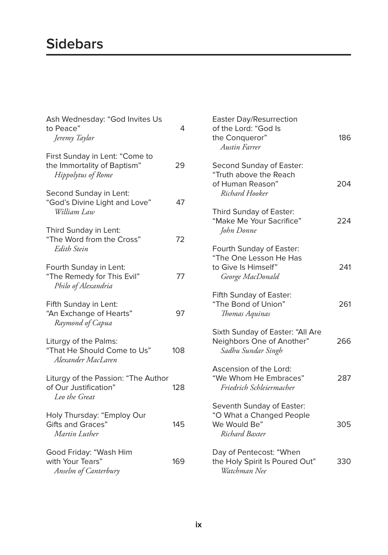# **Sidebars**

| Ash Wednesday: "God Invites Us<br>to Peace"       | $\overline{4}$ | <b>Easter Day/Resurrection</b><br>of the Lord: "God Is |     |
|---------------------------------------------------|----------------|--------------------------------------------------------|-----|
| Jeremy Taylor                                     |                | the Conqueror"<br>Austin Farrer                        | 186 |
| First Sunday in Lent: "Come to                    |                |                                                        |     |
| the Immortality of Baptism"                       | 29             | Second Sunday of Easter:                               |     |
| Hippolytus of Rome                                |                | "Truth above the Reach                                 |     |
|                                                   |                | of Human Reason"                                       | 204 |
| Second Sunday in Lent:                            |                | Richard Hooker                                         |     |
| "God's Divine Light and Love"                     | 47             |                                                        |     |
| William Law                                       |                | Third Sunday of Easter:                                |     |
|                                                   |                | "Make Me Your Sacrifice"                               | 224 |
| Third Sunday in Lent:                             |                | John Donne                                             |     |
| "The Word from the Cross"                         | 72             |                                                        |     |
| Edith Stein                                       |                | Fourth Sunday of Easter:                               |     |
|                                                   |                | "The One Lesson He Has                                 |     |
| Fourth Sunday in Lent:                            |                | to Give Is Himself"                                    | 241 |
| "The Remedy for This Evil"<br>Philo of Alexandria | 77             | George MacDonald                                       |     |
|                                                   |                | Fifth Sunday of Easter:                                |     |
| Fifth Sunday in Lent:                             |                | "The Bond of Union"                                    | 261 |
| "An Exchange of Hearts"                           | 97             | Thomas Aquinas                                         |     |
| Raymond of Capua                                  |                |                                                        |     |
|                                                   |                | Sixth Sunday of Easter: "All Are                       |     |
| Liturgy of the Palms:                             |                | Neighbors One of Another"                              | 266 |
| "That He Should Come to Us"                       | 108            | Sadhu Sundar Singh                                     |     |
| Alexander MacLaren                                |                |                                                        |     |
|                                                   |                | Ascension of the Lord:                                 |     |
| Liturgy of the Passion: "The Author               |                | "We Whom He Embraces"                                  | 287 |
| of Our Justification"                             | 128            | Friedrich Schleiermacher                               |     |
| Leo the Great                                     |                |                                                        |     |
|                                                   |                | Seventh Sunday of Easter:                              |     |
| Holy Thursday: "Employ Our                        |                | "O What a Changed People                               |     |
| Gifts and Graces"                                 | 145            | We Would Be"                                           | 305 |
| Martin Luther                                     |                | Richard Baxter                                         |     |
| Good Friday: "Wash Him                            |                | Day of Pentecost: "When                                |     |
| with Your Tears"                                  | 169            | the Holy Spirit Is Poured Out"                         | 330 |
| Anselm of Canterbury                              |                | Watchman Nee                                           |     |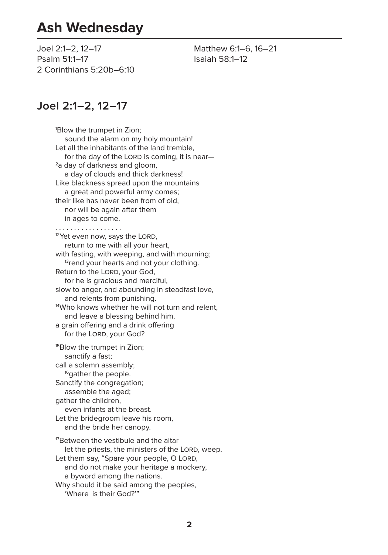# **Ash Wednesday**

Joel 2:1–2, 12–17 Psalm 51:1–17 2 Corinthians 5:20b–6:10 Matthew 6:1–6, 16–21 Isaiah 58:1–12

# **Joel 2:1–2, 12–17**

1 Blow the trumpet in Zion; sound the alarm on my holy mountain! Let all the inhabitants of the land tremble, for the day of the LORD is coming, it is near-<sup>2</sup>a day of darkness and gloom, a day of clouds and thick darkness! Like blackness spread upon the mountains a great and powerful army comes; their like has never been from of old, nor will be again after them in ages to come. . . . . . . . . . . . . . . . . . . <sup>12</sup>Yet even now, says the LORD, return to me with all your heart, with fasting, with weeping, and with mourning; <sup>13</sup>rend your hearts and not your clothing. Return to the LORD, your God, for he is gracious and merciful, slow to anger, and abounding in steadfast love, and relents from punishing. <sup>14</sup>Who knows whether he will not turn and relent, and leave a blessing behind him, a grain offering and a drink offering for the LORD, your God? 15Blow the trumpet in Zion; sanctify a fast; call a solemn assembly; <sup>16</sup>gather the people. Sanctify the congregation; assemble the aged; gather the children, even infants at the breast. Let the bridegroom leave his room, and the bride her canopy. <sup>17</sup>Between the vestibule and the altar let the priests, the ministers of the LORD, weep. Let them say, "Spare your people, O LORD, and do not make your heritage a mockery, a byword among the nations. Why should it be said among the peoples, 'Where is their God?'"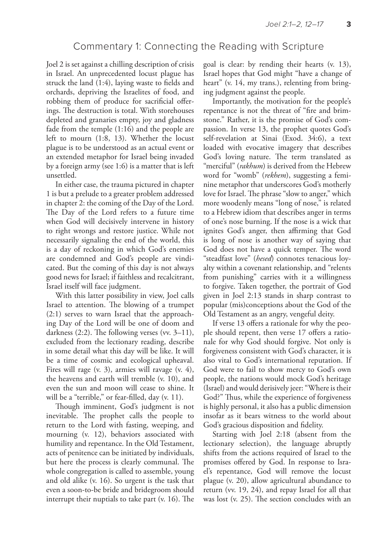#### Commentary 1: Connecting the Reading with Scripture

Joel 2 is set against a chilling description of crisis in Israel. An unprecedented locust plague has struck the land (1:4), laying waste to fields and orchards, depriving the Israelites of food, and robbing them of produce for sacrificial offerings. The destruction is total. With storehouses depleted and granaries empty, joy and gladness fade from the temple (1:16) and the people are left to mourn (1:8, 13). Whether the locust plague is to be understood as an actual event or an extended metaphor for Israel being invaded by a foreign army (see 1:6) is a matter that is left unsettled.

In either case, the trauma pictured in chapter 1 is but a prelude to a greater problem addressed in chapter 2: the coming of the Day of the Lord. The Day of the Lord refers to a future time when God will decisively intervene in history to right wrongs and restore justice. While not necessarily signaling the end of the world, this is a day of reckoning in which God's enemies are condemned and God's people are vindicated. But the coming of this day is not always good news for Israel; if faithless and recalcitrant, Israel itself will face judgment.

With this latter possibility in view, Joel calls Israel to attention. The blowing of a trumpet (2:1) serves to warn Israel that the approaching Day of the Lord will be one of doom and darkness (2:2). The following verses (vv. 3–11), excluded from the lectionary reading, describe in some detail what this day will be like. It will be a time of cosmic and ecological upheaval. Fires will rage (v. 3), armies will ravage (v. 4), the heavens and earth will tremble (v. 10), and even the sun and moon will cease to shine. It will be a "terrible," or fear-filled, day (v. 11).

Though imminent, God's judgment is not inevitable. The prophet calls the people to return to the Lord with fasting, weeping, and mourning (v. 12), behaviors associated with humility and repentance. In the Old Testament, acts of penitence can be initiated by individuals, but here the process is clearly communal. The whole congregation is called to assemble, young and old alike (v. 16). So urgent is the task that even a soon-to-be bride and bridegroom should interrupt their nuptials to take part (v. 16). The

goal is clear: by rending their hearts (v. 13), Israel hopes that God might "have a change of heart" (v. 14, my trans.), relenting from bringing judgment against the people.

Importantly, the motivation for the people's repentance is not the threat of "fire and brimstone." Rather, it is the promise of God's compassion. In verse 13, the prophet quotes God's self-revelation at Sinai (Exod. 34:6), a text loaded with evocative imagery that describes God's loving nature. The term translated as "merciful" (*rakhum*) is derived from the Hebrew word for "womb" (*rekhem*), suggesting a feminine metaphor that underscores God's motherly love for Israel. The phrase "slow to anger," which more woodenly means "long of nose," is related to a Hebrew idiom that describes anger in terms of one's nose burning. If the nose is a wick that ignites God's anger, then affirming that God is long of nose is another way of saying that God does not have a quick temper. The word "steadfast love" (*hesed*) connotes tenacious loyalty within a covenant relationship, and "relents from punishing" carries with it a willingness to forgive. Taken together, the portrait of God given in Joel 2:13 stands in sharp contrast to popular (mis)conceptions about the God of the Old Testament as an angry, vengeful deity.

If verse 13 offers a rationale for why the people should repent, then verse 17 offers a rationale for why God should forgive. Not only is forgiveness consistent with God's character, it is also vital to God's international reputation. If God were to fail to show mercy to God's own people, the nations would mock God's heritage (Israel) and would derisively jeer: "Where is their God?" Thus, while the experience of forgiveness is highly personal, it also has a public dimension insofar as it bears witness to the world about God's gracious disposition and fidelity.

Starting with Joel 2:18 (absent from the lectionary selection), the language abruptly shifts from the actions required of Israel to the promises offered by God. In response to Israel's repentance, God will remove the locust plague (v. 20), allow agricultural abundance to return (vv. 19, 24), and repay Israel for all that was lost (v. 25). The section concludes with an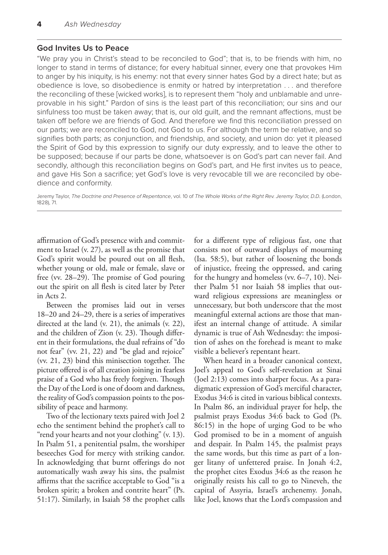#### **God Invites Us to Peace**

"We pray you in Christ's stead to be reconciled to God"; that is, to be friends with him, no longer to stand in terms of distance; for every habitual sinner, every one that provokes Him to anger by his iniquity, is his enemy: not that every sinner hates God by a direct hate; but as obedience is love, so disobedience is enmity or hatred by interpretation . . . and therefore the reconciling of these [wicked works], is to represent them "holy and unblamable and unreprovable in his sight." Pardon of sins is the least part of this reconciliation; our sins and our sinfulness too must be taken away; that is, our old guilt, and the remnant affections, must be taken off before we are friends of God. And therefore we find this reconciliation pressed on our parts; we are reconciled to God, not God to us. For although the term be relative, and so signifies both parts; as conjunction, and friendship, and society, and union do: yet it pleased the Spirit of God by this expression to signify our duty expressly, and to leave the other to be supposed; because if our parts be done, whatsoever is on God's part can never fail. And secondly, although this reconciliation begins on God's part, and He first invites us to peace, and gave His Son a sacrifice; yet God's love is very revocable till we are reconciled by obedience and conformity.

Jeremy Taylor, *The Doctrine and Presence of Repentance*, vol. 10 of *The Whole Works of the Right Rev. Jeremy Taylor, D.D.* (London, 1828), 71.

affirmation of God's presence with and commitment to Israel (v. 27), as well as the promise that God's spirit would be poured out on all flesh, whether young or old, male or female, slave or free (vv. 28–29). The promise of God pouring out the spirit on all flesh is cited later by Peter in Acts 2.

Between the promises laid out in verses 18–20 and 24–29, there is a series of imperatives directed at the land (v. 21), the animals (v. 22), and the children of Zion (v. 23). Though different in their formulations, the dual refrains of "do not fear" (vv. 21, 22) and "be glad and rejoice" (vv. 21, 23) bind this minisection together. The picture offered is of all creation joining in fearless praise of a God who has freely forgiven. Though the Day of the Lord is one of doom and darkness, the reality of God's compassion points to the possibility of peace and harmony.

Two of the lectionary texts paired with Joel 2 echo the sentiment behind the prophet's call to "rend your hearts and not your clothing" (v. 13). In Psalm 51, a penitential psalm, the worshiper beseeches God for mercy with striking candor. In acknowledging that burnt offerings do not automatically wash away his sins, the psalmist affirms that the sacrifice acceptable to God "is a broken spirit; a broken and contrite heart" (Ps. 51:17). Similarly, in Isaiah 58 the prophet calls

for a different type of religious fast, one that consists not of outward displays of mourning (Isa. 58:5), but rather of loosening the bonds of injustice, freeing the oppressed, and caring for the hungry and homeless (vv. 6–7, 10). Neither Psalm 51 nor Isaiah 58 implies that outward religious expressions are meaningless or unnecessary, but both underscore that the most meaningful external actions are those that manifest an internal change of attitude. A similar dynamic is true of Ash Wednesday: the imposition of ashes on the forehead is meant to make visible a believer's repentant heart.

When heard in a broader canonical context, Joel's appeal to God's self-revelation at Sinai (Joel 2:13) comes into sharper focus. As a paradigmatic expression of God's merciful character, Exodus 34:6 is cited in various biblical contexts. In Psalm 86, an individual prayer for help, the psalmist prays Exodus 34:6 back to God (Ps. 86:15) in the hope of urging God to be who God promised to be in a moment of anguish and despair. In Psalm 145, the psalmist prays the same words, but this time as part of a longer litany of unfettered praise. In Jonah 4:2, the prophet cites Exodus 34:6 as the reason he originally resists his call to go to Nineveh, the capital of Assyria, Israel's archenemy. Jonah, like Joel, knows that the Lord's compassion and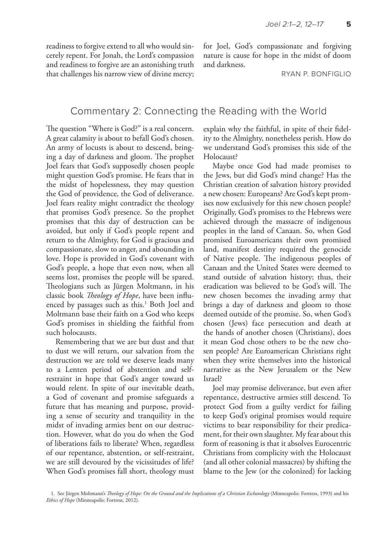readiness to forgive extend to all who would sincerely repent. For Jonah, the Lord's compassion and readiness to forgive are an astonishing truth that challenges his narrow view of divine mercy; for Joel, God's compassionate and forgiving nature is cause for hope in the midst of doom and darkness.

RYAN P. BONFIGLIO

#### Commentary 2: Connecting the Reading with the World

The question "Where is God?" is a real concern. A great calamity is about to befall God's chosen. An army of locusts is about to descend, bringing a day of darkness and gloom. The prophet Joel fears that God's supposedly chosen people might question God's promise. He fears that in the midst of hopelessness, they may question the God of providence, the God of deliverance. Joel fears reality might contradict the theology that promises God's presence. So the prophet promises that this day of destruction can be avoided, but only if God's people repent and return to the Almighty, for God is gracious and compassionate, slow to anger, and abounding in love. Hope is provided in God's covenant with God's people, a hope that even now, when all seems lost, promises the people will be spared. Theologians such as Jürgen Moltmann, in his classic book *Theology of Hope*, have been influenced by passages such as this.<sup>1</sup> Both Joel and Moltmann base their faith on a God who keeps God's promises in shielding the faithful from such holocausts.

Remembering that we are but dust and that to dust we will return, our salvation from the destruction we are told we deserve leads many to a Lenten period of abstention and selfrestraint in hope that God's anger toward us would relent. In spite of our inevitable death, a God of covenant and promise safeguards a future that has meaning and purpose, providing a sense of security and tranquility in the midst of invading armies bent on our destruction. However, what do you do when the God of liberations fails to liberate? When, regardless of our repentance, abstention, or self-restraint, we are still devoured by the vicissitudes of life? When God's promises fall short, theology must

explain why the faithful, in spite of their fidelity to the Almighty, nonetheless perish. How do we understand God's promises this side of the Holocaust?

Maybe once God had made promises to the Jews, but did God's mind change? Has the Christian creation of salvation history provided a new chosen: Europeans? Are God's kept promises now exclusively for this new chosen people? Originally, God's promises to the Hebrews were achieved through the massacre of indigenous peoples in the land of Canaan. So, when God promised Euroamericans their own promised land, manifest destiny required the genocide of Native people. The indigenous peoples of Canaan and the United States were deemed to stand outside of salvation history; thus, their eradication was believed to be God's will. The new chosen becomes the invading army that brings a day of darkness and gloom to those deemed outside of the promise. So, when God's chosen (Jews) face persecution and death at the hands of another chosen (Christians), does it mean God chose others to be the new chosen people? Are Euroamerican Christians right when they write themselves into the historical narrative as the New Jerusalem or the New Israel?

Joel may promise deliverance, but even after repentance, destructive armies still descend. To protect God from a guilty verdict for failing to keep God's original promises would require victims to bear responsibility for their predicament, for their own slaughter. My fear about this form of reasoning is that it absolves Eurocentric Christians from complicity with the Holocaust (and all other colonial massacres) by shifting the blame to the Jew (or the colonized) for lacking

<sup>1.</sup> See Jürgen Moltmann's *Theology of Hope: On the Ground and the Implications of a Christian Eschatology* (Minneapolis: Fortress, 1993) and his *Ethics of Hope* (Minneapolis: Fortress, 2012).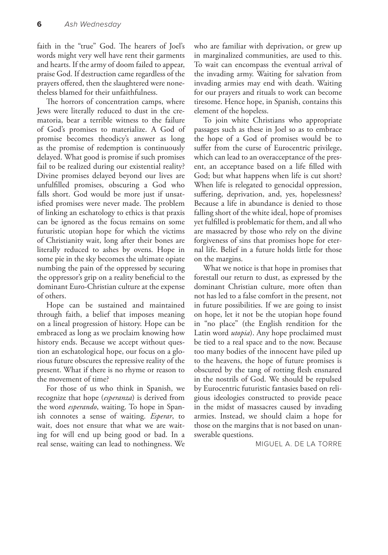faith in the "true" God. The hearers of Joel's words might very well have rent their garments and hearts. If the army of doom failed to appear, praise God. If destruction came regardless of the prayers offered, then the slaughtered were nonetheless blamed for their unfaithfulness.

The horrors of concentration camps, where Jews were literally reduced to dust in the crematoria, bear a terrible witness to the failure of God's promises to materialize. A God of promise becomes theodicy's answer as long as the promise of redemption is continuously delayed. What good is promise if such promises fail to be realized during our existential reality? Divine promises delayed beyond our lives are unfulfilled promises, obscuring a God who falls short. God would be more just if unsatisfied promises were never made. The problem of linking an eschatology to ethics is that praxis can be ignored as the focus remains on some futuristic utopian hope for which the victims of Christianity wait, long after their bones are literally reduced to ashes by ovens. Hope in some pie in the sky becomes the ultimate opiate numbing the pain of the oppressed by securing the oppressor's grip on a reality beneficial to the dominant Euro-Christian culture at the expense of others.

Hope can be sustained and maintained through faith, a belief that imposes meaning on a lineal progression of history. Hope can be embraced as long as we proclaim knowing how history ends. Because we accept without question an eschatological hope, our focus on a glorious future obscures the repressive reality of the present. What if there is no rhyme or reason to the movement of time?

For those of us who think in Spanish, we recognize that hope (*esperanza*) is derived from the word *esperando*, waiting. To hope in Spanish connotes a sense of waiting. *Esperar*, to wait, does not ensure that what we are waiting for will end up being good or bad. In a real sense, waiting can lead to nothingness. We who are familiar with deprivation, or grew up in marginalized communities, are used to this. To wait can encompass the eventual arrival of the invading army. Waiting for salvation from invading armies may end with death. Waiting for our prayers and rituals to work can become tiresome. Hence hope, in Spanish, contains this element of the hopeless.

To join white Christians who appropriate passages such as these in Joel so as to embrace the hope of a God of promises would be to suffer from the curse of Eurocentric privilege, which can lead to an overacceptance of the present, an acceptance based on a life filled with God; but what happens when life is cut short? When life is relegated to genocidal oppression, suffering, deprivation, and, yes, hopelessness? Because a life in abundance is denied to those falling short of the white ideal, hope of promises yet fulfilled is problematic for them, and all who are massacred by those who rely on the divine forgiveness of sins that promises hope for eternal life. Belief in a future holds little for those on the margins.

What we notice is that hope in promises that forestall our return to dust, as expressed by the dominant Christian culture, more often than not has led to a false comfort in the present, not in future possibilities. If we are going to insist on hope, let it not be the utopian hope found in "no place" (the English rendition for the Latin word *utopia*). Any hope proclaimed must be tied to a real space and to the now. Because too many bodies of the innocent have piled up to the heavens, the hope of future promises is obscured by the tang of rotting flesh ensnared in the nostrils of God. We should be repulsed by Eurocentric futuristic fantasies based on religious ideologies constructed to provide peace in the midst of massacres caused by invading armies. Instead, we should claim a hope for those on the margins that is not based on unanswerable questions.

MIGUEL A. DE LA TORRE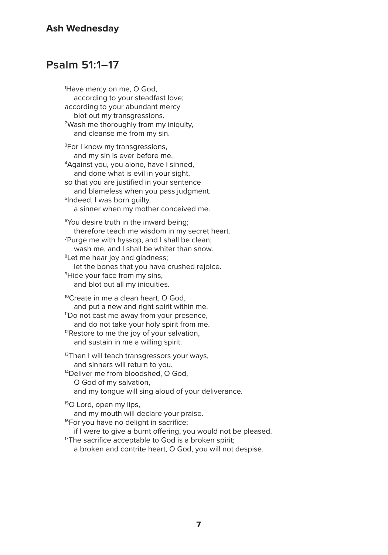# **Psalm 51:1–17**

1 Have mercy on me, O God, according to your steadfast love; according to your abundant mercy blot out my transgressions. 2Wash me thoroughly from my iniquity, and cleanse me from my sin.

<sup>3</sup>For I know my transgressions, and my sin is ever before me. 4 Against you, you alone, have I sinned, and done what is evil in your sight, so that you are justified in your sentence and blameless when you pass judgment. <sup>5</sup>Indeed, I was born guilty, a sinner when my mother conceived me.

<sup>6</sup>You desire truth in the inward being; therefore teach me wisdom in my secret heart. 7 Purge me with hyssop, and I shall be clean; wash me, and I shall be whiter than snow. <sup>8</sup>Let me hear joy and gladness; let the bones that you have crushed rejoice. <sup>9</sup>Hide your face from my sins, and blot out all my iniquities.

10Create in me a clean heart, O God, and put a new and right spirit within me. 11Do not cast me away from your presence, and do not take your holy spirit from me. <sup>12</sup>Restore to me the joy of your salvation, and sustain in me a willing spirit.

<sup>13</sup>Then I will teach transgressors your ways, and sinners will return to you. 14Deliver me from bloodshed, O God, O God of my salvation, and my tongue will sing aloud of your deliverance.

<sup>15</sup>O Lord, open my lips,

and my mouth will declare your praise.

<sup>16</sup>For you have no delight in sacrifice;

if I were to give a burnt offering, you would not be pleased.

<sup>17</sup>The sacrifice acceptable to God is a broken spirit;

a broken and contrite heart, O God, you will not despise.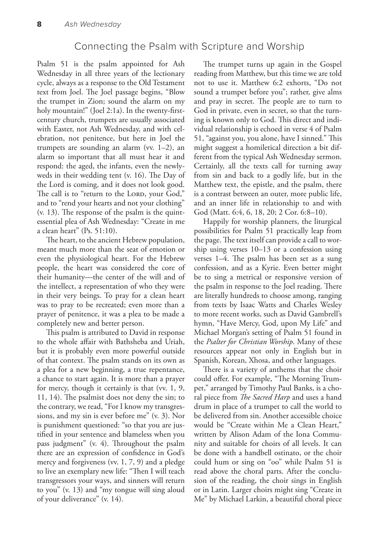#### Connecting the Psalm with Scripture and Worship

Psalm 51 is the psalm appointed for Ash Wednesday in all three years of the lectionary cycle, always as a response to the Old Testament text from Joel. The Joel passage begins, "Blow the trumpet in Zion; sound the alarm on my holy mountain!" (Joel 2:1a). In the twenty-firstcentury church, trumpets are usually associated with Easter, not Ash Wednesday, and with celebration, not penitence, but here in Joel the trumpets are sounding an alarm (vv. 1–2), an alarm so important that all must hear it and respond: the aged, the infants, even the newlyweds in their wedding tent (v. 16). The Day of the Lord is coming, and it does not look good. The call is to "return to the LORD, your God," and to "rend your hearts and not your clothing" (v. 13). The response of the psalm is the quintessential plea of Ash Wednesday: "Create in me a clean heart" (Ps. 51:10).

The heart, to the ancient Hebrew population, meant much more than the seat of emotion or even the physiological heart. For the Hebrew people, the heart was considered the core of their humanity—the center of the will and of the intellect, a representation of who they were in their very beings. To pray for a clean heart was to pray to be recreated; even more than a prayer of penitence, it was a plea to be made a completely new and better person.

This psalm is attributed to David in response to the whole affair with Bathsheba and Uriah, but it is probably even more powerful outside of that context. The psalm stands on its own as a plea for a new beginning, a true repentance, a chance to start again. It is more than a prayer for mercy, though it certainly is that (vv. 1, 9, 11, 14). The psalmist does not deny the sin; to the contrary, we read, "For I know my transgressions, and my sin is ever before me" (v. 3). Nor is punishment questioned: "so that you are justified in your sentence and blameless when you pass judgment" (v. 4). Throughout the psalm there are an expression of confidence in God's mercy and forgiveness (vv. 1, 7, 9) and a pledge to live an exemplary new life: "Then I will teach transgressors your ways, and sinners will return to you" (v. 13) and "my tongue will sing aloud of your deliverance" (v. 14).

The trumpet turns up again in the Gospel reading from Matthew, but this time we are told not to use it. Matthew 6:2 exhorts, "Do not sound a trumpet before you"; rather, give alms and pray in secret. The people are to turn to God in private, even in secret, so that the turning is known only to God. This direct and individual relationship is echoed in verse 4 of Psalm 51, "against you, you alone, have I sinned." This might suggest a homiletical direction a bit different from the typical Ash Wednesday sermon. Certainly, all the texts call for turning away from sin and back to a godly life, but in the Matthew text, the epistle, and the psalm, there is a contrast between an outer, more public life, and an inner life in relationship to and with God (Matt. 6:4, 6, 18, 20; 2 Cor. 6:8–10).

Happily for worship planners, the liturgical possibilities for Psalm 51 practically leap from the page. The text itself can provide a call to worship using verses 10–13 or a confession using verses 1–4. The psalm has been set as a sung confession, and as a Kyrie. Even better might be to sing a metrical or responsive version of the psalm in response to the Joel reading. There are literally hundreds to choose among, ranging from texts by Isaac Watts and Charles Wesley to more recent works, such as David Gambrell's hymn, "Have Mercy, God, upon My Life" and Michael Morgan's setting of Psalm 51 found in the *Psalter for Christian Worship*. Many of these resources appear not only in English but in Spanish, Korean, Xhosa, and other languages.

There is a variety of anthems that the choir could offer. For example, "The Morning Trumpet," arranged by Timothy Paul Banks, is a choral piece from *The Sacred Harp* and uses a hand drum in place of a trumpet to call the world to be delivered from sin. Another accessible choice would be "Create within Me a Clean Heart," written by Alison Adam of the Iona Community and suitable for choirs of all levels. It can be done with a handbell ostinato, or the choir could hum or sing on "oo" while Psalm 51 is read above the choral parts. After the conclusion of the reading, the choir sings in English or in Latin. Larger choirs might sing "Create in Me" by Michael Larkin, a beautiful choral piece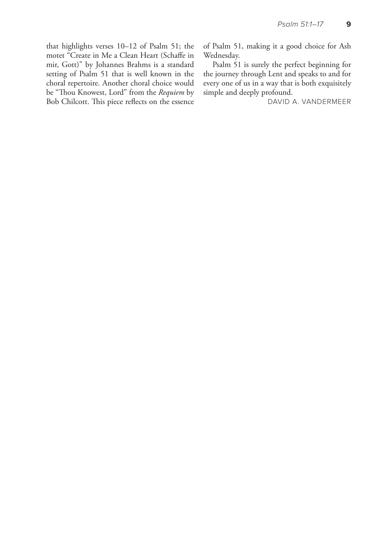that highlights verses 10–12 of Psalm 51; the motet "Create in Me a Clean Heart (Schaffe in mir, Gott)" by Johannes Brahms is a standard setting of Psalm 51 that is well known in the choral repertoire. Another choral choice would be "Thou Knowest, Lord" from the *Requiem* by Bob Chilcott. This piece reflects on the essence

of Psalm 51, making it a good choice for Ash Wednesday.

Psalm 51 is surely the perfect beginning for the journey through Lent and speaks to and for every one of us in a way that is both exquisitely simple and deeply profound.

DAVID A. VANDERMEER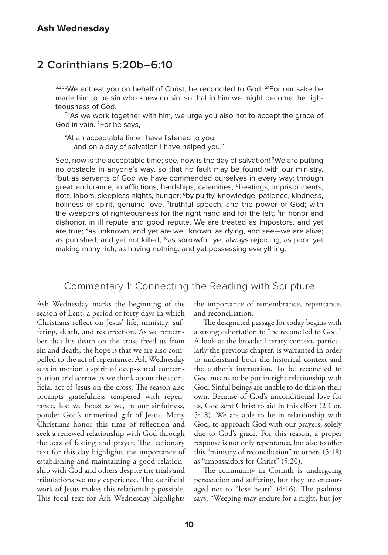# **2 Corinthians 5:20b–6:10**

5:20bWe entreat you on behalf of Christ, be reconciled to God. <sup>21</sup>For our sake he made him to be sin who knew no sin, so that in him we might become the righteousness of God.

 $6.1$ As we work together with him, we urge you also not to accept the grace of God in vain. 2For he says,

"At an acceptable time I have listened to you, and on a day of salvation I have helped you."

See, now is the acceptable time; see, now is the day of salvation! <sup>3</sup>We are putting no obstacle in anyone's way, so that no fault may be found with our ministry, 4 but as servants of God we have commended ourselves in every way: through great endurance, in afflictions, hardships, calamities, <sup>5</sup>beatings, imprisonments, riots, labors, sleepless nights, hunger; <sup>6</sup>by purity, knowledge, patience, kindness, holiness of spirit, genuine love, <sup>7</sup>truthful speech, and the power of God; with the weapons of righteousness for the right hand and for the left; <sup>8</sup>in honor and dishonor, in ill repute and good repute. We are treated as impostors, and yet are true; <sup>9</sup>as unknown, and yet are well known; as dying, and see—we are alive; as punished, and yet not killed; <sup>10</sup>as sorrowful, yet always rejoicing; as poor, yet making many rich; as having nothing, and yet possessing everything.

#### Commentary 1: Connecting the Reading with Scripture

Ash Wednesday marks the beginning of the season of Lent, a period of forty days in which Christians reflect on Jesus' life, ministry, suffering, death, and resurrection. As we remember that his death on the cross freed us from sin and death, the hope is that we are also compelled to the act of repentance. Ash Wednesday sets in motion a spirit of deep-seated contemplation and sorrow as we think about the sacrificial act of Jesus on the cross. The season also prompts gratefulness tempered with repentance, lest we boast as we, in our sinfulness, ponder God's unmerited gift of Jesus. Many Christians honor this time of reflection and seek a renewed relationship with God through the acts of fasting and prayer. The lectionary text for this day highlights the importance of establishing and maintaining a good relationship with God and others despite the trials and tribulations we may experience. The sacrificial work of Jesus makes this relationship possible. This focal text for Ash Wednesday highlights

the importance of remembrance, repentance, and reconciliation.

The designated passage for today begins with a strong exhortation to "be reconciled to God." A look at the broader literary context, particularly the previous chapter, is warranted in order to understand both the historical context and the author's instruction. To be reconciled to God means to be put in right relationship with God. Sinful beings are unable to do this on their own. Because of God's unconditional love for us, God sent Christ to aid in this effort (2 Cor. 5:18). We are able to be in relationship with God, to approach God with our prayers, solely due to God's grace. For this reason, a proper response is not only repentance, but also to offer this "ministry of reconciliation" to others (5:18) as "ambassadors for Christ" (5:20).

The community in Corinth is undergoing persecution and suffering, but they are encouraged not to "lose heart" (4:16). The psalmist says, "Weeping may endure for a night, but joy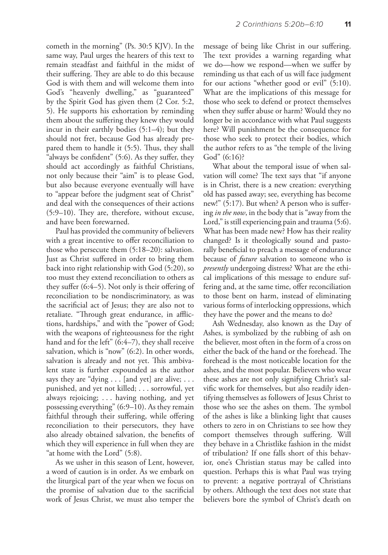cometh in the morning" (Ps. 30:5 KJV). In the same way, Paul urges the hearers of this text to remain steadfast and faithful in the midst of their suffering. They are able to do this because God is with them and will welcome them into God's "heavenly dwelling," as "guaranteed" by the Spirit God has given them (2 Cor. 5:2, 5). He supports his exhortation by reminding them about the suffering they knew they would incur in their earthly bodies (5:1–4); but they should not fret, because God has already prepared them to handle it (5:5). Thus, they shall "always be confident" (5:6). As they suffer, they should act accordingly as faithful Christians, not only because their "aim" is to please God, but also because everyone eventually will have to "appear before the judgment seat of Christ" and deal with the consequences of their actions (5:9–10). They are, therefore, without excuse, and have been forewarned.

Paul has provided the community of believers with a great incentive to offer reconciliation to those who persecute them (5:18–20): salvation. Just as Christ suffered in order to bring them back into right relationship with God (5:20), so too must they extend reconciliation to others as they suffer (6:4–5). Not only is their offering of reconciliation to be nondiscriminatory, as was the sacrificial act of Jesus; they are also not to retaliate. "Through great endurance, in afflictions, hardships," and with the "power of God; with the weapons of righteousness for the right hand and for the left" (6:4–7), they shall receive salvation, which is "now" (6:2). In other words, salvation is already and not yet. This ambivalent state is further expounded as the author says they are "dying . . . [and yet] are alive; . . . punished, and yet not killed; . . . sorrowful, yet always rejoicing; . . . having nothing, and yet possessing everything" (6:9–10). As they remain faithful through their suffering, while offering reconciliation to their persecutors, they have also already obtained salvation, the benefits of which they will experience in full when they are "at home with the Lord" (5:8).

As we usher in this season of Lent, however, a word of caution is in order. As we embark on the liturgical part of the year when we focus on the promise of salvation due to the sacrificial work of Jesus Christ, we must also temper the message of being like Christ in our suffering. The text provides a warning regarding what we do—how we respond—when we suffer by reminding us that each of us will face judgment for our actions "whether good or evil" (5:10). What are the implications of this message for those who seek to defend or protect themselves when they suffer abuse or harm? Would they no longer be in accordance with what Paul suggests here? Will punishment be the consequence for those who seek to protect their bodies, which the author refers to as "the temple of the living God" (6:16)?

What about the temporal issue of when salvation will come? The text says that "if anyone is in Christ, there is a new creation: everything old has passed away; see, everything has become new!" (5:17). But when? A person who is suffering *in the now*, in the body that is "away from the Lord," is still experiencing pain and trauma (5:6). What has been made new? How has their reality changed? Is it theologically sound and pastorally beneficial to preach a message of endurance because of *future* salvation to someone who is *presently* undergoing distress? What are the ethical implications of this message to endure suffering and, at the same time, offer reconciliation to those bent on harm, instead of eliminating various forms of interlocking oppressions, which they have the power and the means to do?

Ash Wednesday, also known as the Day of Ashes, is symbolized by the rubbing of ash on the believer, most often in the form of a cross on either the back of the hand or the forehead. The forehead is the most noticeable location for the ashes, and the most popular. Believers who wear these ashes are not only signifying Christ's salvific work for themselves, but also readily identifying themselves as followers of Jesus Christ to those who see the ashes on them. The symbol of the ashes is like a blinking light that causes others to zero in on Christians to see how they comport themselves through suffering. Will they behave in a Christlike fashion in the midst of tribulation? If one falls short of this behavior, one's Christian status may be called into question. Perhaps this is what Paul was trying to prevent: a negative portrayal of Christians by others. Although the text does not state that believers bore the symbol of Christ's death on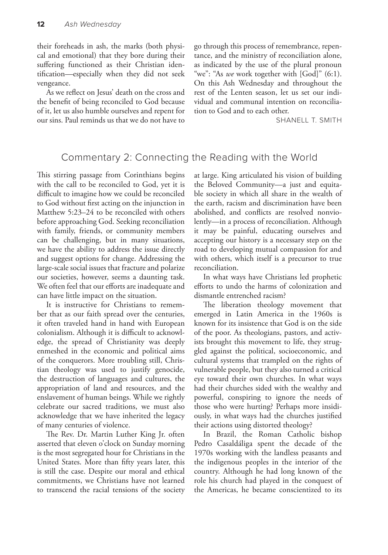their foreheads in ash, the marks (both physical and emotional) that they bore during their suffering functioned as their Christian identification—especially when they did not seek vengeance.

As we reflect on Jesus' death on the cross and the benefit of being reconciled to God because of it, let us also humble ourselves and repent for our sins. Paul reminds us that we do not have to go through this process of remembrance, repentance, and the ministry of reconciliation alone, as indicated by the use of the plural pronoun "we": "As *we* work together with [God]" (6:1). On this Ash Wednesday and throughout the rest of the Lenten season, let us set our individual and communal intention on reconciliation to God and to each other.

SHANELL T. SMITH

### Commentary 2: Connecting the Reading with the World

This stirring passage from Corinthians begins with the call to be reconciled to God, yet it is difficult to imagine how we could be reconciled to God without first acting on the injunction in Matthew 5:23–24 to be reconciled with others before approaching God. Seeking reconciliation with family, friends, or community members can be challenging, but in many situations, we have the ability to address the issue directly and suggest options for change. Addressing the large-scale social issues that fracture and polarize our societies, however, seems a daunting task. We often feel that our efforts are inadequate and can have little impact on the situation.

It is instructive for Christians to remember that as our faith spread over the centuries, it often traveled hand in hand with European colonialism. Although it is difficult to acknowledge, the spread of Christianity was deeply enmeshed in the economic and political aims of the conquerors. More troubling still, Christian theology was used to justify genocide, the destruction of languages and cultures, the appropriation of land and resources, and the enslavement of human beings. While we rightly celebrate our sacred traditions, we must also acknowledge that we have inherited the legacy of many centuries of violence.

The Rev. Dr. Martin Luther King Jr. often asserted that eleven o'clock on Sunday morning is the most segregated hour for Christians in the United States. More than fifty years later, this is still the case. Despite our moral and ethical commitments, we Christians have not learned to transcend the racial tensions of the society at large. King articulated his vision of building the Beloved Community—a just and equitable society in which all share in the wealth of the earth, racism and discrimination have been abolished, and conflicts are resolved nonviolently—in a process of reconciliation. Although it may be painful, educating ourselves and accepting our history is a necessary step on the road to developing mutual compassion for and with others, which itself is a precursor to true reconciliation.

In what ways have Christians led prophetic efforts to undo the harms of colonization and dismantle entrenched racism?

The liberation theology movement that emerged in Latin America in the 1960s is known for its insistence that God is on the side of the poor. As theologians, pastors, and activists brought this movement to life, they struggled against the political, socioeconomic, and cultural systems that trampled on the rights of vulnerable people, but they also turned a critical eye toward their own churches. In what ways had their churches sided with the wealthy and powerful, conspiring to ignore the needs of those who were hurting? Perhaps more insidiously, in what ways had the churches justified their actions using distorted theology?

In Brazil, the Roman Catholic bishop Pedro Casaldáliga spent the decade of the 1970s working with the landless peasants and the indigenous peoples in the interior of the country. Although he had long known of the role his church had played in the conquest of the Americas, he became conscientized to its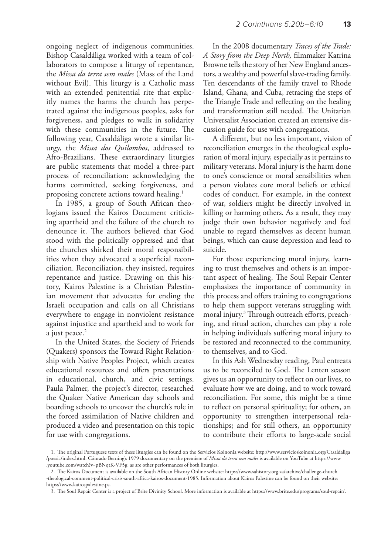ongoing neglect of indigenous communities. Bishop Casaldáliga worked with a team of collaborators to compose a liturgy of repentance, the *Missa da terra sem males* (Mass of the Land without Evil). This liturgy is a Catholic mass with an extended penitential rite that explicitly names the harms the church has perpetrated against the indigenous peoples, asks for forgiveness, and pledges to walk in solidarity with these communities in the future. The following year, Casaldáliga wrote a similar liturgy, the *Missa dos Quilombos*, addressed to Afro-Brazilians. These extraordinary liturgies are public statements that model a three-part process of reconciliation: acknowledging the harms committed, seeking forgiveness, and proposing concrete actions toward healing.<sup>1</sup>

In 1985, a group of South African theologians issued the Kairos Document criticizing apartheid and the failure of the church to denounce it. The authors believed that God stood with the politically oppressed and that the churches shirked their moral responsibilities when they advocated a superficial reconciliation. Reconciliation, they insisted, requires repentance and justice. Drawing on this history, Kairos Palestine is a Christian Palestinian movement that advocates for ending the Israeli occupation and calls on all Christians everywhere to engage in nonviolent resistance against injustice and apartheid and to work for a just peace. $2$ 

In the United States, the Society of Friends (Quakers) sponsors the Toward Right Relationship with Native Peoples Project, which creates educational resources and offers presentations in educational, church, and civic settings. Paula Palmer, the project's director, researched the Quaker Native American day schools and boarding schools to uncover the church's role in the forced assimilation of Native children and produced a video and presentation on this topic for use with congregations.

In the 2008 documentary *Traces of the Trade: A Story from the Deep North,* filmmaker Katrina Browne tells the story of her New England ancestors, a wealthy and powerful slave-trading family. Ten descendants of the family travel to Rhode Island, Ghana, and Cuba, retracing the steps of the Triangle Trade and reflecting on the healing and transformation still needed. The Unitarian Universalist Association created an extensive discussion guide for use with congregations.

A different, but no less important, vision of reconciliation emerges in the theological exploration of moral injury, especially as it pertains to military veterans. Moral injury is the harm done to one's conscience or moral sensibilities when a person violates core moral beliefs or ethical codes of conduct. For example, in the context of war, soldiers might be directly involved in killing or harming others. As a result, they may judge their own behavior negatively and feel unable to regard themselves as decent human beings, which can cause depression and lead to suicide.

For those experiencing moral injury, learning to trust themselves and others is an important aspect of healing. The Soul Repair Center emphasizes the importance of community in this process and offers training to congregations to help them support veterans struggling with moral injury.<sup>3</sup> Through outreach efforts, preaching, and ritual action, churches can play a role in helping individuals suffering moral injury to be restored and reconnected to the community, to themselves, and to God.

In this Ash Wednesday reading, Paul entreats us to be reconciled to God. The Lenten season gives us an opportunity to reflect on our lives, to evaluate how we are doing, and to work toward reconciliation. For some, this might be a time to reflect on personal spirituality; for others, an opportunity to strengthen interpersonal relationships; and for still others, an opportunity to contribute their efforts to large-scale social

<sup>1.</sup> The original Portuguese texts of these liturgies can be found on the Servicios Koinonia website: http://www.servicioskoinonia.org/Casaldaliga /poesia/index.html. Cónrado Berning's 1979 documentary on the premiere of *Missa da terra sem males* is available on YouTube at https://www .youtube.com/watch?v=pBNqtK-VF5g, as are other performances of both liturgies.

<sup>2.</sup> The Kairos Document is available on the South African History Online website: https://www.sahistory.org.za/archive/challenge-church -theological-comment-political-crisis-south-africa-kairos-document-1985. Information about Kairos Palestine can be found on their website: https://www.kairospalestine.ps.

<sup>3.</sup> The Soul Repair Center is a project of Brite Divinity School. More information is available at https://www.brite.edu/programs/soul-repair/.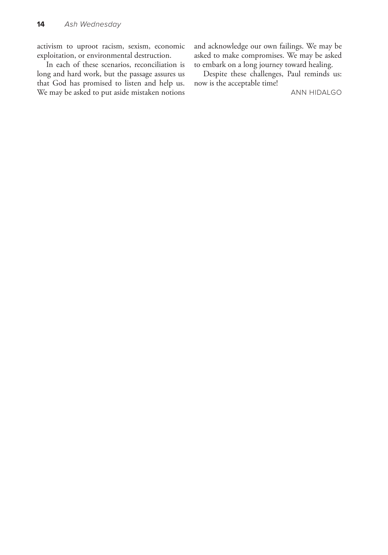activism to uproot racism, sexism, economic exploitation, or environmental destruction.

In each of these scenarios, reconciliation is long and hard work, but the passage assures us that God has promised to listen and help us. We may be asked to put aside mistaken notions and acknowledge our own failings. We may be asked to make compromises. We may be asked to embark on a long journey toward healing.

Despite these challenges, Paul reminds us: now is the acceptable time!

ANN HIDALGO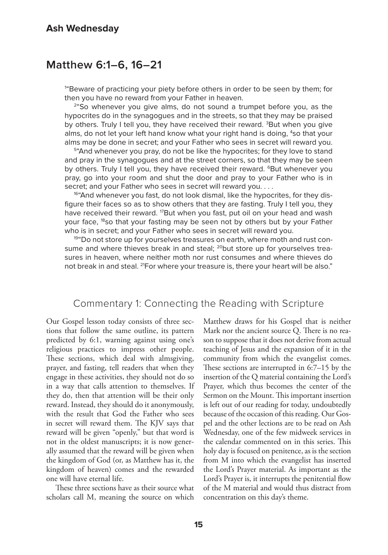### **Matthew 6:1–6, 16–21**

1 "Beware of practicing your piety before others in order to be seen by them; for then you have no reward from your Father in heaven.

 $2^{\circ}$ So whenever you give alms, do not sound a trumpet before you, as the hypocrites do in the synagogues and in the streets, so that they may be praised by others. Truly I tell you, they have received their reward. <sup>3</sup>But when you give alms, do not let your left hand know what your right hand is doing, <sup>4</sup>so that your alms may be done in secret; and your Father who sees in secret will reward you.<br><sup>5</sup>"And whenever you pray, do not be like the hypocrites; for they love to stand

and pray in the synagogues and at the street corners, so that they may be seen by others. Truly I tell you, they have received their reward. <sup>6</sup>But whenever you pray, go into your room and shut the door and pray to your Father who is in secret; and your Father who sees in secret will reward you. . . .<br><sup>16</sup>"And whenever you fast, do not look dismal, like the hypocrites, for they dis-

figure their faces so as to show others that they are fasting. Truly I tell you, they have received their reward. <sup>17</sup>But when you fast, put oil on your head and wash your face, <sup>18</sup>so that your fasting may be seen not by others but by your Father who is in secret; and your Father who sees in secret will reward you.

<sup>19</sup> "Do not store up for yourselves treasures on earth, where moth and rust consume and where thieves break in and steal; <sup>20</sup>but store up for yourselves treasures in heaven, where neither moth nor rust consumes and where thieves do not break in and steal. <sup>21</sup>For where your treasure is, there your heart will be also."

#### Commentary 1: Connecting the Reading with Scripture

Our Gospel lesson today consists of three sections that follow the same outline, its pattern predicted by 6:1, warning against using one's religious practices to impress other people. These sections, which deal with almsgiving, prayer, and fasting, tell readers that when they engage in these activities, they should not do so in a way that calls attention to themselves. If they do, then that attention will be their only reward. Instead, they should do it anonymously, with the result that God the Father who sees in secret will reward them. The KJV says that reward will be given "openly," but that word is not in the oldest manuscripts; it is now generally assumed that the reward will be given when the kingdom of God (or, as Matthew has it, the kingdom of heaven) comes and the rewarded one will have eternal life.

These three sections have as their source what scholars call M, meaning the source on which

Matthew draws for his Gospel that is neither Mark nor the ancient source Q. There is no reason to suppose that it does not derive from actual teaching of Jesus and the expansion of it in the community from which the evangelist comes. These sections are interrupted in 6:7–15 by the insertion of the Q material containing the Lord's Prayer, which thus becomes the center of the Sermon on the Mount. This important insertion is left out of our reading for today, undoubtedly because of the occasion of this reading. Our Gospel and the other lections are to be read on Ash Wednesday, one of the few midweek services in the calendar commented on in this series. This holy day is focused on penitence, as is the section from M into which the evangelist has inserted the Lord's Prayer material. As important as the Lord's Prayer is, it interrupts the penitential flow of the M material and would thus distract from concentration on this day's theme.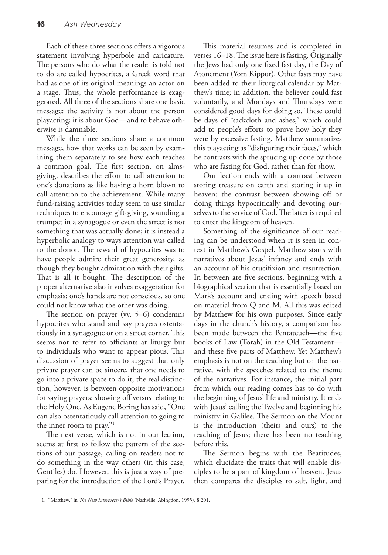Each of these three sections offers a vigorous statement involving hyperbole and caricature. The persons who do what the reader is told not to do are called hypocrites, a Greek word that had as one of its original meanings an actor on a stage. Thus, the whole performance is exaggerated. All three of the sections share one basic message: the activity is not about the person playacting; it is about God—and to behave otherwise is damnable.

While the three sections share a common message, how that works can be seen by examining them separately to see how each reaches a common goal. The first section, on almsgiving, describes the effort to call attention to one's donations as like having a horn blown to call attention to the achievement. While many fund-raising activities today seem to use similar techniques to encourage gift-giving, sounding a trumpet in a synagogue or even the street is not something that was actually done; it is instead a hyperbolic analogy to ways attention was called to the donor. The reward of hypocrites was to have people admire their great generosity, as though they bought admiration with their gifts. That is all it bought. The description of the proper alternative also involves exaggeration for emphasis: one's hands are not conscious, so one could not know what the other was doing.

The section on prayer (vv. 5–6) condemns hypocrites who stand and say prayers ostentatiously in a synagogue or on a street corner. This seems not to refer to officiants at liturgy but to individuals who want to appear pious. This discussion of prayer seems to suggest that only private prayer can be sincere, that one needs to go into a private space to do it; the real distinction, however, is between opposite motivations for saying prayers: showing off versus relating to the Holy One. As Eugene Boring has said, "One can also ostentatiously call attention to going to the inner room to pray."1

The next verse, which is not in our lection, seems at first to follow the pattern of the sections of our passage, calling on readers not to do something in the way others (in this case, Gentiles) do. However, this is just a way of preparing for the introduction of the Lord's Prayer.

This material resumes and is completed in verses 16–18. The issue here is fasting. Originally the Jews had only one fixed fast day, the Day of Atonement (Yom Kippur). Other fasts may have been added to their liturgical calendar by Matthew's time; in addition, the believer could fast voluntarily, and Mondays and Thursdays were considered good days for doing so. These could be days of "sackcloth and ashes," which could add to people's efforts to prove how holy they were by excessive fasting. Matthew summarizes this playacting as "disfiguring their faces," which he contrasts with the sprucing up done by those who are fasting for God, rather than for show.

Our lection ends with a contrast between storing treasure on earth and storing it up in heaven: the contrast between showing off or doing things hypocritically and devoting ourselves to the service of God. The latter is required to enter the kingdom of heaven.

Something of the significance of our reading can be understood when it is seen in context in Matthew's Gospel. Matthew starts with narratives about Jesus' infancy and ends with an account of his crucifixion and resurrection. In between are five sections, beginning with a biographical section that is essentially based on Mark's account and ending with speech based on material from Q and M. All this was edited by Matthew for his own purposes. Since early days in the church's history, a comparison has been made between the Pentateuch—the five books of Law (Torah) in the Old Testament and these five parts of Matthew. Yet Matthew's emphasis is not on the teaching but on the narrative, with the speeches related to the theme of the narratives. For instance, the initial part from which our reading comes has to do with the beginning of Jesus' life and ministry. It ends with Jesus' calling the Twelve and beginning his ministry in Galilee. The Sermon on the Mount is the introduction (theirs and ours) to the teaching of Jesus; there has been no teaching before this.

The Sermon begins with the Beatitudes, which elucidate the traits that will enable disciples to be a part of kingdom of heaven. Jesus then compares the disciples to salt, light, and

<sup>1.</sup> "Matthew," in *The New Interpreter's Bible* (Nashville: Abingdon, 1995), 8:201.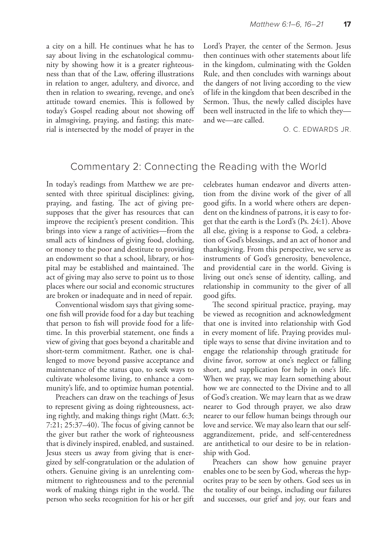a city on a hill. He continues what he has to say about living in the eschatological community by showing how it is a greater righteousness than that of the Law, offering illustrations in relation to anger, adultery, and divorce, and then in relation to swearing, revenge, and one's attitude toward enemies. This is followed by today's Gospel reading about not showing off in almsgiving, praying, and fasting; this material is intersected by the model of prayer in the

Lord's Prayer, the center of the Sermon. Jesus then continues with other statements about life in the kingdom, culminating with the Golden Rule, and then concludes with warnings about the dangers of not living according to the view of life in the kingdom that been described in the Sermon. Thus, the newly called disciples have been well instructed in the life to which they and we—are called.

O. C. EDWARDS JR.

#### Commentary 2: Connecting the Reading with the World

In today's readings from Matthew we are presented with three spiritual disciplines: giving, praying, and fasting. The act of giving presupposes that the giver has resources that can improve the recipient's present condition. This brings into view a range of activities—from the small acts of kindness of giving food, clothing, or money to the poor and destitute to providing an endowment so that a school, library, or hospital may be established and maintained. The act of giving may also serve to point us to those places where our social and economic structures are broken or inadequate and in need of repair.

Conventional wisdom says that giving someone fish will provide food for a day but teaching that person to fish will provide food for a lifetime. In this proverbial statement, one finds a view of giving that goes beyond a charitable and short-term commitment. Rather, one is challenged to move beyond passive acceptance and maintenance of the status quo, to seek ways to cultivate wholesome living, to enhance a community's life, and to optimize human potential.

Preachers can draw on the teachings of Jesus to represent giving as doing righteousness, acting rightly, and making things right (Matt. 6:3; 7:21; 25:37–40). The focus of giving cannot be the giver but rather the work of righteousness that is divinely inspired, enabled, and sustained. Jesus steers us away from giving that is energized by self-congratulation or the adulation of others. Genuine giving is an unrelenting commitment to righteousness and to the perennial work of making things right in the world. The person who seeks recognition for his or her gift

celebrates human endeavor and diverts attention from the divine work of the giver of all good gifts. In a world where others are dependent on the kindness of patrons, it is easy to forget that the earth is the Lord's (Ps. 24:1). Above all else, giving is a response to God, a celebration of God's blessings, and an act of honor and thanksgiving. From this perspective, we serve as instruments of God's generosity, benevolence, and providential care in the world. Giving is living out one's sense of identity, calling, and relationship in community to the giver of all good gifts.

The second spiritual practice, praying, may be viewed as recognition and acknowledgment that one is invited into relationship with God in every moment of life. Praying provides multiple ways to sense that divine invitation and to engage the relationship through gratitude for divine favor, sorrow at one's neglect or falling short, and supplication for help in one's life. When we pray, we may learn something about how we are connected to the Divine and to all of God's creation. We may learn that as we draw nearer to God through prayer, we also draw nearer to our fellow human beings through our love and service. We may also learn that our selfaggrandizement, pride, and self-centeredness are antithetical to our desire to be in relationship with God.

Preachers can show how genuine prayer enables one to be seen by God, whereas the hypocrites pray to be seen by others. God sees us in the totality of our beings, including our failures and successes, our grief and joy, our fears and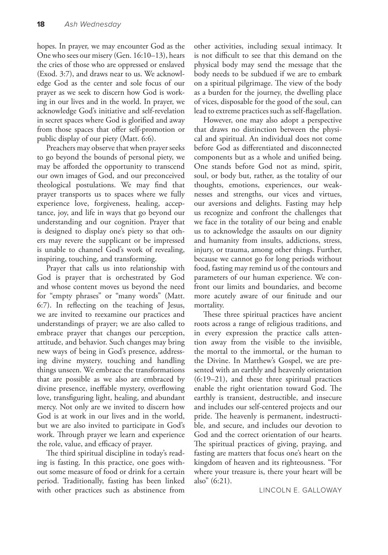hopes. In prayer, we may encounter God as the One who sees our misery (Gen. 16:10–13), hears the cries of those who are oppressed or enslaved (Exod. 3:7), and draws near to us. We acknowledge God as the center and sole focus of our prayer as we seek to discern how God is working in our lives and in the world. In prayer, we acknowledge God's initiative and self-revelation in secret spaces where God is glorified and away from those spaces that offer self-promotion or public display of our piety (Matt. 6:6).

Preachers may observe that when prayer seeks to go beyond the bounds of personal piety, we may be afforded the opportunity to transcend our own images of God, and our preconceived theological postulations. We may find that prayer transports us to spaces where we fully experience love, forgiveness, healing, acceptance, joy, and life in ways that go beyond our understanding and our cognition. Prayer that is designed to display one's piety so that others may revere the supplicant or be impressed is unable to channel God's work of revealing, inspiring, touching, and transforming.

Prayer that calls us into relationship with God is prayer that is orchestrated by God and whose content moves us beyond the need for "empty phrases" or "many words" (Matt. 6:7). In reflecting on the teaching of Jesus, we are invited to reexamine our practices and understandings of prayer; we are also called to embrace prayer that changes our perception, attitude, and behavior. Such changes may bring new ways of being in God's presence, addressing divine mystery, touching and handling things unseen. We embrace the transformations that are possible as we also are embraced by divine presence, ineffable mystery, overflowing love, transfiguring light, healing, and abundant mercy. Not only are we invited to discern how God is at work in our lives and in the world, but we are also invited to participate in God's work. Through prayer we learn and experience the role, value, and efficacy of prayer.

The third spiritual discipline in today's reading is fasting. In this practice, one goes without some measure of food or drink for a certain period. Traditionally, fasting has been linked with other practices such as abstinence from other activities, including sexual intimacy. It is not difficult to see that this demand on the physical body may send the message that the body needs to be subdued if we are to embark on a spiritual pilgrimage. The view of the body as a burden for the journey, the dwelling place of vices, disposable for the good of the soul, can lead to extreme practices such as self-flagellation.

However, one may also adopt a perspective that draws no distinction between the physical and spiritual. An individual does not come before God as differentiated and disconnected components but as a whole and unified being. One stands before God not as mind, spirit, soul, or body but, rather, as the totality of our thoughts, emotions, experiences, our weaknesses and strengths, our vices and virtues, our aversions and delights. Fasting may help us recognize and confront the challenges that we face in the totality of our being and enable us to acknowledge the assaults on our dignity and humanity from insults, addictions, stress, injury, or trauma, among other things. Further, because we cannot go for long periods without food, fasting may remind us of the contours and parameters of our human experience. We confront our limits and boundaries, and become more acutely aware of our finitude and our mortality.

These three spiritual practices have ancient roots across a range of religious traditions, and in every expression the practice calls attention away from the visible to the invisible, the mortal to the immortal, or the human to the Divine. In Matthew's Gospel, we are presented with an earthly and heavenly orientation (6:19–21), and these three spiritual practices enable the right orientation toward God. The earthly is transient, destructible, and insecure and includes our self-centered projects and our pride. The heavenly is permanent, indestructible, and secure, and includes our devotion to God and the correct orientation of our hearts. The spiritual practices of giving, praying, and fasting are matters that focus one's heart on the kingdom of heaven and its righteousness. "For where your treasure is, there your heart will be also" (6:21).

LINCOLN E. GALLOWAY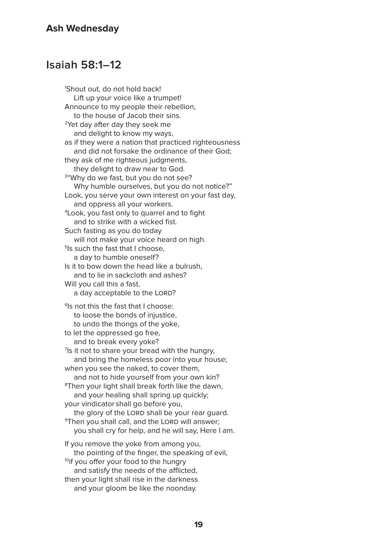## **Isaiah 58:1–12**

1 Shout out, do not hold back! Lift up your voice like a trumpet! Announce to my people their rebellion, to the house of Jacob their sins. <sup>2</sup>Yet day after day they seek me and delight to know my ways, as if they were a nation that practiced righteousness and did not forsake the ordinance of their God; they ask of me righteous judgments, they delight to draw near to God. 3 "Why do we fast, but you do not see? Why humble ourselves, but you do not notice?" Look, you serve your own interest on your fast day, and oppress all your workers. 4 Look, you fast only to quarrel and to fight and to strike with a wicked fist. Such fasting as you do today will not make your voice heard on high. <sup>5</sup>Is such the fast that I choose, a day to humble oneself? Is it to bow down the head like a bulrush, and to lie in sackcloth and ashes? Will you call this a fast, a day acceptable to the LORD? <sup>6</sup>Is not this the fast that I choose: to loose the bonds of injustice, to undo the thongs of the yoke, to let the oppressed go free, and to break every yoke? 7 Is it not to share your bread with the hungry, and bring the homeless poor into your house; when you see the naked, to cover them, and not to hide yourself from your own kin? <sup>8</sup>Then your light shall break forth like the dawn, and your healing shall spring up quickly; your vindicator shall go before you, the glory of the LORD shall be your rear guard. <sup>9</sup>Then you shall call, and the LORD will answer; you shall cry for help, and he will say, Here I am. If you remove the yoke from among you, the pointing of the finger, the speaking of evil, <sup>10</sup>if you offer your food to the hungry and satisfy the needs of the afflicted, then your light shall rise in the darkness and your gloom be like the noonday.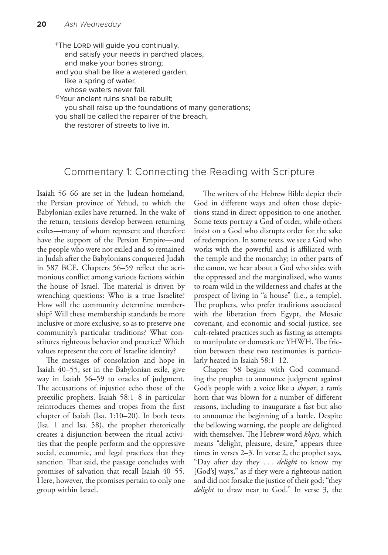<sup>11</sup>The LORD will quide you continually, and satisfy your needs in parched places, and make your bones strong; and you shall be like a watered garden, like a spring of water, whose waters never fail. <sup>12</sup>Your ancient ruins shall be rebuilt; you shall raise up the foundations of many generations; you shall be called the repairer of the breach, the restorer of streets to live in.

#### Commentary 1: Connecting the Reading with Scripture

Isaiah 56–66 are set in the Judean homeland, the Persian province of Yehud, to which the Babylonian exiles have returned. In the wake of the return, tensions develop between returning exiles—many of whom represent and therefore have the support of the Persian Empire—and the people who were not exiled and so remained in Judah after the Babylonians conquered Judah in 587 BCE. Chapters 56–59 reflect the acrimonious conflict among various factions within the house of Israel. The material is driven by wrenching questions: Who is a true Israelite? How will the community determine membership? Will these membership standards be more inclusive or more exclusive, so as to preserve one community's particular traditions? What constitutes righteous behavior and practice? Which values represent the core of Israelite identity?

The messages of consolation and hope in Isaiah 40–55, set in the Babylonian exile, give way in Isaiah 56–59 to oracles of judgment. The accusations of injustice echo those of the preexilic prophets. Isaiah 58:1–8 in particular reintroduces themes and tropes from the first chapter of Isaiah (Isa. 1:10–20). In both texts (Isa. 1 and Isa. 58), the prophet rhetorically creates a disjunction between the ritual activities that the people perform and the oppressive social, economic, and legal practices that they sanction. That said, the passage concludes with promises of salvation that recall Isaiah 40–55. Here, however, the promises pertain to only one group within Israel.

The writers of the Hebrew Bible depict their God in different ways and often those depictions stand in direct opposition to one another. Some texts portray a God of order, while others insist on a God who disrupts order for the sake of redemption. In some texts, we see a God who works with the powerful and is affiliated with the temple and the monarchy; in other parts of the canon, we hear about a God who sides with the oppressed and the marginalized, who wants to roam wild in the wilderness and chafes at the prospect of living in "a house" (i.e., a temple). The prophets, who prefer traditions associated with the liberation from Egypt, the Mosaic covenant, and economic and social justice, see cult-related practices such as fasting as attempts to manipulate or domesticate YHWH. The friction between these two testimonies is particularly heated in Isaiah 58:1–12.

Chapter 58 begins with God commanding the prophet to announce judgment against God's people with a voice like a *shopar*, a ram's horn that was blown for a number of different reasons, including to inaugurate a fast but also to announce the beginning of a battle. Despite the bellowing warning, the people are delighted with themselves. The Hebrew word *khpts,* which means "delight, pleasure, desire," appears three times in verses 2–3. In verse 2, the prophet says, "Day after day they . . . *delight* to know my [God's] ways," as if they were a righteous nation and did not forsake the justice of their god; "they *delight* to draw near to God." In verse 3, the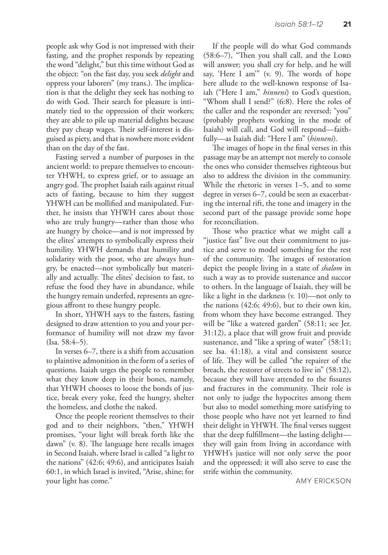people ask why God is not impressed with their fasting, and the prophet responds by repeating the word "delight," but this time without God as the object: "on the fast day, you seek *delight* and oppress your laborers" (my trans.). The implication is that the delight they seek has nothing to do with God. Their search for pleasure is intimately tied to the oppression of their workers; they are able to pile up material delights because they pay cheap wages. Their self-interest is disguised as piety, and that is nowhere more evident than on the day of the fast.

Fasting served a number of purposes in the ancient world: to prepare themselves to encounter YHWH, to express grief, or to assuage an angry god. The prophet Isaiah rails against ritual acts of fasting, because to him they suggest YHWH can be mollified and manipulated. Further, he insists that YHWH cares about those who are truly hungry—rather than those who are hungry by choice—and is not impressed by the elites' attempts to symbolically express their humility. YHWH demands that humility and solidarity with the poor, who are always hungry, be enacted—not symbolically but materially and actually. The elites' decision to fast, to refuse the food they have in abundance, while the hungry remain underfed, represents an egregious affront to these hungry people.

In short, YHWH says to the fasters, fasting designed to draw attention to you and your performance of humility will not draw my favor (Isa. 58:4–5).

In verses 6–7, there is a shift from accusation to plaintive admonition in the form of a series of questions. Isaiah urges the people to remember what they know deep in their bones, namely, that YHWH chooses to loose the bonds of justice, break every yoke, feed the hungry, shelter the homeless, and clothe the naked.

Once the people reorient themselves to their god and to their neighbors, "then," YHWH promises, "your light will break forth like the dawn" (v. 8). The language here recalls images in Second Isaiah, where Israel is called "a light to the nations" (42:6; 49:6), and anticipates Isaiah 60:1, in which Israel is invited, "Arise, shine; for your light has come."

If the people will do what God commands (58:6–7), "Then you shall call, and the Lord will answer; you shall cry for help, and he will say, 'Here I am'" (v. 9). The words of hope here allude to the well-known response of Isaiah ("Here I am," *hinneni*) to God's question, "Whom shall I send?" (6:8). Here the roles of the caller and the responder are reversed; "you" (probably prophets working in the mode of Isaiah) will call, and God will respond—faithfully—as Isaiah did: "Here I am" (*hinneni*).

The images of hope in the final verses in this passage may be an attempt not merely to console the ones who consider themselves righteous but also to address the division in the community. While the rhetoric in verses 1–5, and to some degree in verses 6–7, could be seen as exacerbating the internal rift, the tone and imagery in the second part of the passage provide some hope for reconciliation.

Those who practice what we might call a "justice fast" live out their commitment to justice and serve to model something for the rest of the community. The images of restoration depict the people living in a state of *shalom* in such a way as to provide sustenance and succor to others. In the language of Isaiah, they will be like a light in the darkness (v. 10)—not only to the nations (42:6; 49:6), but to their own kin, from whom they have become estranged. They will be "like a watered garden" (58:11; see Jer. 31:12), a place that will grow fruit and provide sustenance, and "like a spring of water" (58:11; see Isa. 41:18), a vital and consistent source of life. They will be called "the repairer of the breach, the restorer of streets to live in" (58:12), because they will have attended to the fissures and fractures in the community. Their role is not only to judge the hypocrites among them but also to model something more satisfying to those people who have not yet learned to find their delight in YHWH. The final verses suggest that the deep fulfillment—the lasting delight they will gain from living in accordance with YHWH's justice will not only serve the poor and the oppressed; it will also serve to ease the strife within the community.

AMY ERICKSON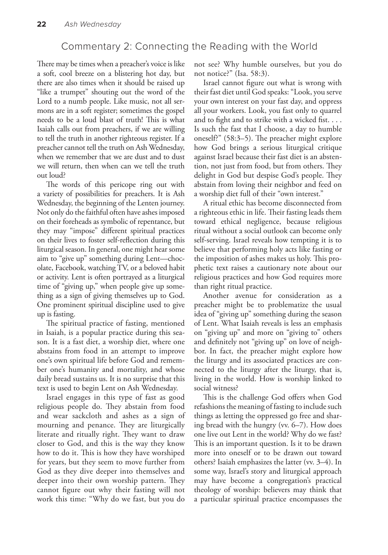## Commentary 2: Connecting the Reading with the World

There may be times when a preacher's voice is like a soft, cool breeze on a blistering hot day, but there are also times when it should be raised up "like a trumpet" shouting out the word of the Lord to a numb people. Like music, not all sermons are in a soft register; sometimes the gospel needs to be a loud blast of truth! This is what Isaiah calls out from preachers, if we are willing to tell the truth in another righteous register. If a preacher cannot tell the truth on Ash Wednesday, when we remember that we are dust and to dust we will return, then when can we tell the truth out loud?

The words of this pericope ring out with a variety of possibilities for preachers. It is Ash Wednesday, the beginning of the Lenten journey. Not only do the faithful often have ashes imposed on their foreheads as symbolic of repentance, but they may "impose" different spiritual practices on their lives to foster self-reflection during this liturgical season. In general, one might hear some aim to "give up" something during Lent—chocolate, Facebook, watching TV, or a beloved habit or activity. Lent is often portrayed as a liturgical time of "giving up," when people give up something as a sign of giving themselves up to God. One prominent spiritual discipline used to give up is fasting.

The spiritual practice of fasting, mentioned in Isaiah, is a popular practice during this season. It is a fast diet, a worship diet, where one abstains from food in an attempt to improve one's own spiritual life before God and remember one's humanity and mortality, and whose daily bread sustains us. It is no surprise that this text is used to begin Lent on Ash Wednesday.

Israel engages in this type of fast as good religious people do. They abstain from food and wear sackcloth and ashes as a sign of mourning and penance. They are liturgically literate and ritually right. They want to draw closer to God, and this is the way they know how to do it. This is how they have worshiped for years, but they seem to move further from God as they dive deeper into themselves and deeper into their own worship pattern. They cannot figure out why their fasting will not work this time: "Why do we fast, but you do

not see? Why humble ourselves, but you do not notice?" (Isa. 58:3).

Israel cannot figure out what is wrong with their fast diet until God speaks: "Look, you serve your own interest on your fast day, and oppress all your workers. Look, you fast only to quarrel and to fight and to strike with a wicked fist. . . . Is such the fast that I choose, a day to humble oneself?" (58:3–5). The preacher might explore how God brings a serious liturgical critique against Israel because their fast diet is an abstention, not just from food, but from others. They delight in God but despise God's people. They abstain from loving their neighbor and feed on a worship diet full of their "own interest."

A ritual ethic has become disconnected from a righteous ethic in life. Their fasting leads them toward ethical negligence, because religious ritual without a social outlook can become only self-serving. Israel reveals how tempting it is to believe that performing holy acts like fasting or the imposition of ashes makes us holy. This prophetic text raises a cautionary note about our religious practices and how God requires more than right ritual practice.

Another avenue for consideration as a preacher might be to problematize the usual idea of "giving up" something during the season of Lent. What Isaiah reveals is less an emphasis on "giving up" and more on "giving to" others and definitely not "giving up" on love of neighbor. In fact, the preacher might explore how the liturgy and its associated practices are connected to the liturgy after the liturgy, that is, living in the world. How is worship linked to social witness?

This is the challenge God offers when God refashions the meaning of fasting to include such things as letting the oppressed go free and sharing bread with the hungry (vv. 6–7). How does one live out Lent in the world? Why do we fast? This is an important question. Is it to be drawn more into oneself or to be drawn out toward others? Isaiah emphasizes the latter (vv. 3–4). In some way, Israel's story and liturgical approach may have become a congregation's practical theology of worship: believers may think that a particular spiritual practice encompasses the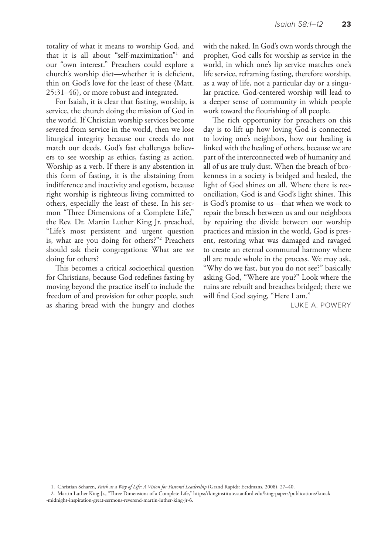totality of what it means to worship God, and that it is all about "self-maximization"1 and our "own interest." Preachers could explore a church's worship diet—whether it is deficient, thin on God's love for the least of these (Matt. 25:31–46), or more robust and integrated.

For Isaiah, it is clear that fasting, worship, is service, the church doing the mission of God in the world. If Christian worship services become severed from service in the world, then we lose liturgical integrity because our creeds do not match our deeds. God's fast challenges believers to see worship as ethics, fasting as action. Worship as a verb. If there is any abstention in this form of fasting, it is the abstaining from indifference and inactivity and egotism, because right worship is righteous living committed to others, especially the least of these. In his sermon "Three Dimensions of a Complete Life," the Rev. Dr. Martin Luther King Jr. preached, "Life's most persistent and urgent question is, what are you doing for others?"2 Preachers should ask their congregations: What are *we* doing for others?

This becomes a critical socioethical question for Christians, because God redefines fasting by moving beyond the practice itself to include the freedom of and provision for other people, such as sharing bread with the hungry and clothes with the naked. In God's own words through the prophet, God calls for worship as service in the world, in which one's lip service matches one's life service, reframing fasting, therefore worship, as a way of life, not a particular day or a singular practice. God-centered worship will lead to a deeper sense of community in which people work toward the flourishing of all people.

The rich opportunity for preachers on this day is to lift up how loving God is connected to loving one's neighbors, how our healing is linked with the healing of others, because we are part of the interconnected web of humanity and all of us are truly dust. When the breach of brokenness in a society is bridged and healed, the light of God shines on all. Where there is reconciliation, God is and God's light shines. This is God's promise to us—that when we work to repair the breach between us and our neighbors by repairing the divide between our worship practices and mission in the world, God is present, restoring what was damaged and ravaged to create an eternal communal harmony where all are made whole in the process. We may ask, "Why do we fast, but you do not see?" basically asking God, "Where are you?" Look where the ruins are rebuilt and breaches bridged; there we will find God saying, "Here I am."

LUKE A. POWERY

1. Christian Scharen, *Faith as a Way of Life: A Vision for Pastoral Leadership* (Grand Rapids: Eerdmans, 2008), 27–40.

2. Martin Luther King Jr., "Three Dimensions of a Complete Life," https://kinginstitute.stanford.edu/king-papers/publications/knock -midnight-inspiration-great-sermons-reverend-martin-luther-king-jr-6.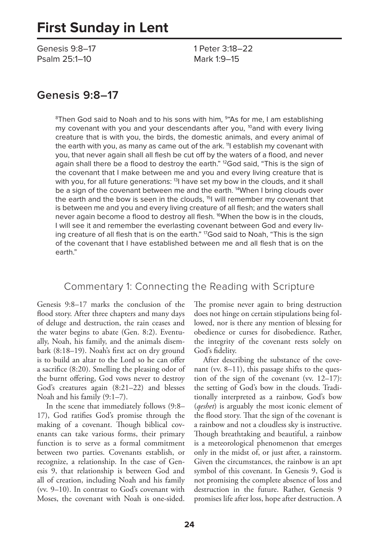# **First Sunday in Lent**

Genesis 9:8–17 Psalm 25:1–10

1 Peter 3:18–22 Mark 1:9–15

# **Genesis 9:8–17**

<sup>8</sup>Then God said to Noah and to his sons with him, <sup>9</sup>"As for me, I am establishing my covenant with you and your descendants after you, <sup>10</sup>and with every living creature that is with you, the birds, the domestic animals, and every animal of the earth with you, as many as came out of the ark. <sup>11</sup>I establish my covenant with you, that never again shall all flesh be cut off by the waters of a flood, and never again shall there be a flood to destroy the earth." <sup>12</sup>God said, "This is the sign of the covenant that I make between me and you and every living creature that is with you, for all future generations: <sup>13</sup>I have set my bow in the clouds, and it shall be a sign of the covenant between me and the earth.<sup>14</sup>When I bring clouds over the earth and the bow is seen in the clouds, <sup>15</sup>I will remember my covenant that is between me and you and every living creature of all flesh; and the waters shall never again become a flood to destroy all flesh. <sup>16</sup>When the bow is in the clouds, I will see it and remember the everlasting covenant between God and every living creature of all flesh that is on the earth." <sup>17</sup>God said to Noah, "This is the sign of the covenant that I have established between me and all flesh that is on the earth."

#### Commentary 1: Connecting the Reading with Scripture

Genesis 9:8–17 marks the conclusion of the flood story. After three chapters and many days of deluge and destruction, the rain ceases and the water begins to abate (Gen. 8:2). Eventually, Noah, his family, and the animals disembark (8:18–19). Noah's first act on dry ground is to build an altar to the Lord so he can offer a sacrifice (8:20). Smelling the pleasing odor of the burnt offering, God vows never to destroy God's creatures again (8:21–22) and blesses Noah and his family (9:1–7).

In the scene that immediately follows (9:8– 17), God ratifies God's promise through the making of a covenant. Though biblical covenants can take various forms, their primary function is to serve as a formal commitment between two parties. Covenants establish, or recognize, a relationship. In the case of Genesis 9, that relationship is between God and all of creation, including Noah and his family (vv. 9–10). In contrast to God's covenant with Moses, the covenant with Noah is one-sided.

The promise never again to bring destruction does not hinge on certain stipulations being followed, nor is there any mention of blessing for obedience or curses for disobedience. Rather, the integrity of the covenant rests solely on God's fidelity.

After describing the substance of the covenant (vv. 8–11), this passage shifts to the question of the sign of the covenant (vv. 12–17): the setting of God's bow in the clouds. Traditionally interpreted as a rainbow, God's bow (*qeshet*) is arguably the most iconic element of the flood story. That the sign of the covenant is a rainbow and not a cloudless sky is instructive. Though breathtaking and beautiful, a rainbow is a meteorological phenomenon that emerges only in the midst of, or just after, a rainstorm. Given the circumstances, the rainbow is an apt symbol of this covenant. In Genesis 9, God is not promising the complete absence of loss and destruction in the future. Rather, Genesis 9 promises life after loss, hope after destruction. A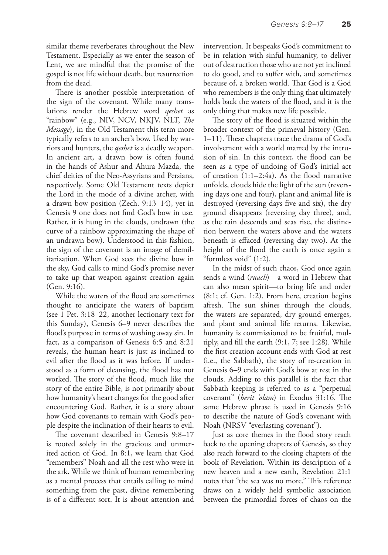similar theme reverberates throughout the New Testament. Especially as we enter the season of Lent, we are mindful that the promise of the gospel is not life without death, but resurrection from the dead.

There is another possible interpretation of the sign of the covenant. While many translations render the Hebrew word *qeshet* as "rainbow" (e.g., NIV, NCV, NKJV, NLT, *The Message*), in the Old Testament this term more typically refers to an archer's bow. Used by warriors and hunters, the *qeshet* is a deadly weapon. In ancient art, a drawn bow is often found in the hands of Ashur and Ahura Mazda, the chief deities of the Neo-Assyrians and Persians, respectively. Some Old Testament texts depict the Lord in the mode of a divine archer, with a drawn bow position (Zech. 9:13–14), yet in Genesis 9 one does not find God's bow in use. Rather, it is hung in the clouds, undrawn (the curve of a rainbow approximating the shape of an undrawn bow). Understood in this fashion, the sign of the covenant is an image of demilitarization. When God sees the divine bow in the sky, God calls to mind God's promise never to take up that weapon against creation again (Gen. 9:16).

While the waters of the flood are sometimes thought to anticipate the waters of baptism (see 1 Pet. 3:18–22, another lectionary text for this Sunday), Genesis 6–9 never describes the flood's purpose in terms of washing away sin. In fact, as a comparison of Genesis 6:5 and 8:21 reveals, the human heart is just as inclined to evil after the flood as it was before. If understood as a form of cleansing, the flood has not worked. The story of the flood, much like the story of the entire Bible, is not primarily about how humanity's heart changes for the good after encountering God. Rather, it is a story about how God covenants to remain with God's people despite the inclination of their hearts to evil.

The covenant described in Genesis 9:8–17 is rooted solely in the gracious and unmerited action of God. In 8:1, we learn that God "remembers" Noah and all the rest who were in the ark. While we think of human remembering as a mental process that entails calling to mind something from the past, divine remembering is of a different sort. It is about attention and intervention. It bespeaks God's commitment to be in relation with sinful humanity, to deliver out of destruction those who are not yet inclined to do good, and to suffer with, and sometimes because of, a broken world. That God is a God who remembers is the only thing that ultimately holds back the waters of the flood, and it is the only thing that makes new life possible.

The story of the flood is situated within the broader context of the primeval history (Gen. 1–11). These chapters trace the drama of God's involvement with a world marred by the intrusion of sin. In this context, the flood can be seen as a type of undoing of God's initial act of creation (1:1–2:4a). As the flood narrative unfolds, clouds hide the light of the sun (reversing days one and four), plant and animal life is destroyed (reversing days five and six), the dry ground disappears (reversing day three), and, as the rain descends and seas rise, the distinction between the waters above and the waters beneath is effaced (reversing day two). At the height of the flood the earth is once again a "formless void" (1:2).

In the midst of such chaos, God once again sends a wind (*ruach*)—a word in Hebrew that can also mean spirit—to bring life and order (8:1; cf. Gen. 1:2). From here, creation begins afresh. The sun shines through the clouds, the waters are separated, dry ground emerges, and plant and animal life returns. Likewise, humanity is commissioned to be fruitful, multiply, and fill the earth (9:1, 7; see 1:28). While the first creation account ends with God at rest (i.e., the Sabbath), the story of re-creation in Genesis 6–9 ends with God's bow at rest in the clouds. Adding to this parallel is the fact that Sabbath keeping is referred to as a "perpetual covenant" (*berit 'olam*) in Exodus 31:16. The same Hebrew phrase is used in Genesis 9:16 to describe the nature of God's covenant with Noah (NRSV "everlasting covenant").

Just as core themes in the flood story reach back to the opening chapters of Genesis, so they also reach forward to the closing chapters of the book of Revelation. Within its description of a new heaven and a new earth, Revelation 21:1 notes that "the sea was no more." This reference draws on a widely held symbolic association between the primordial forces of chaos on the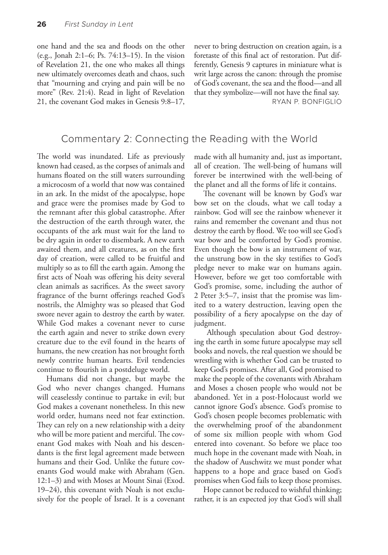one hand and the sea and floods on the other (e.g., Jonah 2:1–6; Ps. 74:13–15). In the vision of Revelation 21, the one who makes all things new ultimately overcomes death and chaos, such that "mourning and crying and pain will be no more" (Rev. 21:4). Read in light of Revelation 21, the covenant God makes in Genesis 9:8–17, never to bring destruction on creation again, is a foretaste of this final act of restoration. Put differently, Genesis 9 captures in miniature what is writ large across the canon: through the promise of God's covenant, the sea and the flood—and all that they symbolize—will not have the final say. RYAN P. BONFIGLIO

#### Commentary 2: Connecting the Reading with the World

The world was inundated. Life as previously known had ceased, as the corpses of animals and humans floated on the still waters surrounding a microcosm of a world that now was contained in an ark. In the midst of the apocalypse, hope and grace were the promises made by God to the remnant after this global catastrophe. After the destruction of the earth through water, the occupants of the ark must wait for the land to be dry again in order to disembark. A new earth awaited them, and all creatures, as on the first day of creation, were called to be fruitful and multiply so as to fill the earth again. Among the first acts of Noah was offering his deity several clean animals as sacrifices. As the sweet savory fragrance of the burnt offerings reached God's nostrils, the Almighty was so pleased that God swore never again to destroy the earth by water. While God makes a covenant never to curse the earth again and never to strike down every creature due to the evil found in the hearts of humans, the new creation has not brought forth newly contrite human hearts. Evil tendencies continue to flourish in a postdeluge world.

Humans did not change, but maybe the God who never changes changed. Humans will ceaselessly continue to partake in evil; but God makes a covenant nonetheless. In this new world order, humans need not fear extinction. They can rely on a new relationship with a deity who will be more patient and merciful. The covenant God makes with Noah and his descendants is the first legal agreement made between humans and their God. Unlike the future covenants God would make with Abraham (Gen. 12:1–3) and with Moses at Mount Sinai (Exod. 19–24), this covenant with Noah is not exclusively for the people of Israel. It is a covenant made with all humanity and, just as important, all of creation. The well-being of humans will forever be intertwined with the well-being of the planet and all the forms of life it contains.

The covenant will be known by God's war bow set on the clouds, what we call today a rainbow. God will see the rainbow whenever it rains and remember the covenant and thus not destroy the earth by flood. We too will see God's war bow and be comforted by God's promise. Even though the bow is an instrument of war, the unstrung bow in the sky testifies to God's pledge never to make war on humans again. However, before we get too comfortable with God's promise, some, including the author of 2 Peter 3:5–7, insist that the promise was limited to a watery destruction, leaving open the possibility of a fiery apocalypse on the day of judgment.

 Although speculation about God destroying the earth in some future apocalypse may sell books and novels, the real question we should be wrestling with is whether God can be trusted to keep God's promises. After all, God promised to make the people of the covenants with Abraham and Moses a chosen people who would not be abandoned. Yet in a post-Holocaust world we cannot ignore God's absence. God's promise to God's chosen people becomes problematic with the overwhelming proof of the abandonment of some six million people with whom God entered into covenant. So before we place too much hope in the covenant made with Noah, in the shadow of Auschwitz we must ponder what happens to a hope and grace based on God's promises when God fails to keep those promises.

Hope cannot be reduced to wishful thinking; rather, it is an expected joy that God's will shall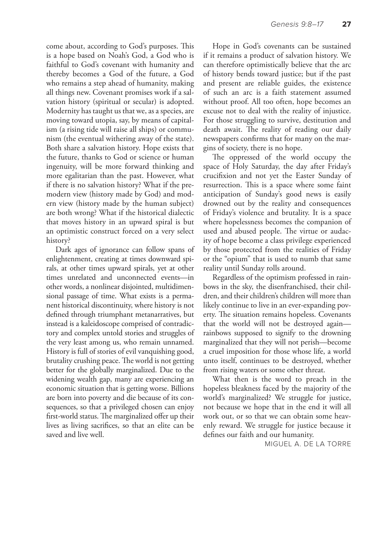come about, according to God's purposes. This is a hope based on Noah's God, a God who is faithful to God's covenant with humanity and thereby becomes a God of the future, a God who remains a step ahead of humanity, making all things new. Covenant promises work if a salvation history (spiritual or secular) is adopted. Modernity has taught us that we, as a species, are moving toward utopia, say, by means of capitalism (a rising tide will raise all ships) or communism (the eventual withering away of the state). Both share a salvation history. Hope exists that the future, thanks to God or science or human ingenuity, will be more forward thinking and more egalitarian than the past. However, what if there is no salvation history? What if the premodern view (history made by God) and modern view (history made by the human subject) are both wrong? What if the historical dialectic that moves history in an upward spiral is but an optimistic construct forced on a very select history?

Dark ages of ignorance can follow spans of enlightenment, creating at times downward spirals, at other times upward spirals, yet at other times unrelated and unconnected events—in other words, a nonlinear disjointed, multidimensional passage of time. What exists is a permanent historical discontinuity, where history is not defined through triumphant metanarratives, but instead is a kaleidoscope comprised of contradictory and complex untold stories and struggles of the very least among us, who remain unnamed. History is full of stories of evil vanquishing good, brutality crushing peace. The world is not getting better for the globally marginalized. Due to the widening wealth gap, many are experiencing an economic situation that is getting worse. Billions are born into poverty and die because of its consequences, so that a privileged chosen can enjoy first-world status. The marginalized offer up their lives as living sacrifices, so that an elite can be saved and live well.

Hope in God's covenants can be sustained if it remains a product of salvation history. We can therefore optimistically believe that the arc of history bends toward justice; but if the past and present are reliable guides, the existence of such an arc is a faith statement assumed without proof. All too often, hope becomes an excuse not to deal with the reality of injustice. For those struggling to survive, destitution and death await. The reality of reading our daily newspapers confirms that for many on the margins of society, there is no hope.

The oppressed of the world occupy the space of Holy Saturday, the day after Friday's crucifixion and not yet the Easter Sunday of resurrection. This is a space where some faint anticipation of Sunday's good news is easily drowned out by the reality and consequences of Friday's violence and brutality. It is a space where hopelessness becomes the companion of used and abused people. The virtue or audacity of hope become a class privilege experienced by those protected from the realities of Friday or the "opium" that is used to numb that same reality until Sunday rolls around.

Regardless of the optimism professed in rainbows in the sky, the disenfranchised, their children, and their children's children will more than likely continue to live in an ever-expanding poverty. The situation remains hopeless. Covenants that the world will not be destroyed again rainbows supposed to signify to the drowning marginalized that they will not perish—become a cruel imposition for those whose life, a world unto itself, continues to be destroyed, whether from rising waters or some other threat.

What then is the word to preach in the hopeless bleakness faced by the majority of the world's marginalized? We struggle for justice, not because we hope that in the end it will all work out, or so that we can obtain some heavenly reward. We struggle for justice because it defines our faith and our humanity.

MIGUEL A. DE LA TORRE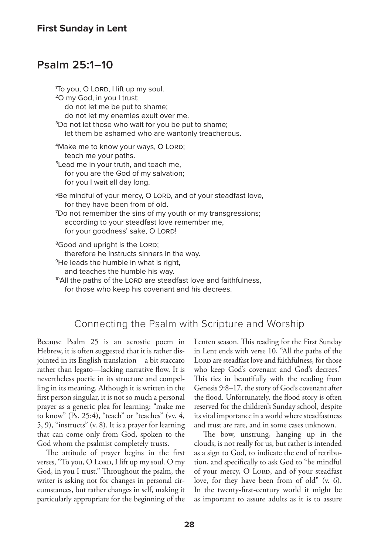## **Psalm 25:1–10**

'To you, O LORD, I lift up my soul. 2O my God, in you I trust; do not let me be put to shame; do not let my enemies exult over me. 3 Do not let those who wait for you be put to shame; let them be ashamed who are wantonly treacherous. <sup>4</sup>Make me to know your ways, O LORD; teach me your paths. <sup>5</sup>Lead me in your truth, and teach me, for you are the God of my salvation; for you I wait all day long. <sup>6</sup>Be mindful of your mercy, O LORD, and of your steadfast love, for they have been from of old. 7 Do not remember the sins of my youth or my transgressions; according to your steadfast love remember me, for your goodness' sake, O LORD! <sup>8</sup>Good and upright is the LORD; therefore he instructs sinners in the way. <sup>9</sup>He leads the humble in what is right,

and teaches the humble his way.

<sup>10</sup> All the paths of the LORD are steadfast love and faithfulness, for those who keep his covenant and his decrees.

#### Connecting the Psalm with Scripture and Worship

Because Psalm 25 is an acrostic poem in Hebrew, it is often suggested that it is rather disjointed in its English translation—a bit staccato rather than legato—lacking narrative flow. It is nevertheless poetic in its structure and compelling in its meaning. Although it is written in the first person singular, it is not so much a personal prayer as a generic plea for learning: "make me to know"  $(Ps. 25:4)$ , "teach" or "teaches" (vv.  $4$ , 5, 9), "instructs" (v. 8). It is a prayer for learning that can come only from God, spoken to the God whom the psalmist completely trusts.

The attitude of prayer begins in the first verses, "To you, O Lord, I lift up my soul. O my God, in you I trust." Throughout the psalm, the writer is asking not for changes in personal circumstances, but rather changes in self, making it particularly appropriate for the beginning of the

Lenten season. This reading for the First Sunday in Lent ends with verse 10, "All the paths of the LORD are steadfast love and faithfulness, for those who keep God's covenant and God's decrees." This ties in beautifully with the reading from Genesis 9:8–17, the story of God's covenant after the flood. Unfortunately, the flood story is often reserved for the children's Sunday school, despite its vital importance in a world where steadfastness and trust are rare, and in some cases unknown.

The bow, unstrung, hanging up in the clouds, is not really for us, but rather is intended as a sign to God, to indicate the end of retribution, and specifically to ask God to "be mindful of your mercy, O LORD, and of your steadfast love, for they have been from of old" (v. 6). In the twenty-first-century world it might be as important to assure adults as it is to assure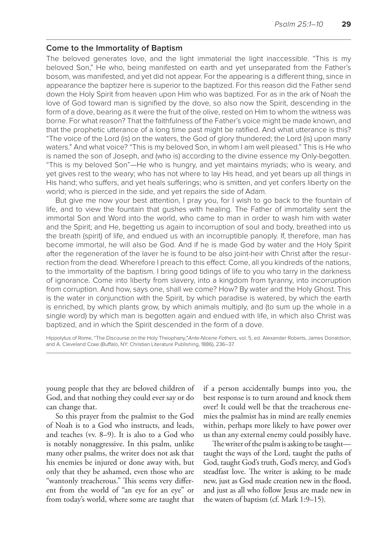#### **Come to the Immortality of Baptism**

The beloved generates love, and the light immaterial the light inaccessible. "This is my beloved Son," He who, being manifested on earth and yet unseparated from the Father's bosom, was manifested, and yet did not appear. For the appearing is a different thing, since in appearance the baptizer here is superior to the baptized. For this reason did the Father send down the Holy Spirit from heaven upon Him who was baptized. For as in the ark of Noah the love of God toward man is signified by the dove, so also now the Spirit, descending in the form of a dove, bearing as it were the fruit of the olive, rested on Him to whom the witness was borne. For what reason? That the faithfulness of the Father's voice might be made known, and that the prophetic utterance of a long time past might be ratified. And what utterance is this? "The voice of the Lord (is) on the waters, the God of glory thundered; the Lord (is) upon many waters." And what voice? "This is my beloved Son, in whom I am well pleased." This is He who is named the son of Joseph, and (who is) according to the divine essence my Only-begotten. "This is my beloved Son"—He who is hungry, and yet maintains myriads; who is weary, and yet gives rest to the weary; who has not where to lay His head, and yet bears up all things in His hand; who suffers, and yet heals sufferings; who is smitten, and yet confers liberty on the world; who is pierced in the side, and yet repairs the side of Adam.

But give me now your best attention, I pray you, for I wish to go back to the fountain of life, and to view the fountain that gushes with healing. The Father of immortality sent the immortal Son and Word into the world, who came to man in order to wash him with water and the Spirit; and He, begetting us again to incorruption of soul and body, breathed into us the breath (spirit) of life, and endued us with an incorruptible panoply. If, therefore, man has become immortal, he will also be God. And if he is made God by water and the Holy Spirit after the regeneration of the laver he is found to be also joint-heir with Christ after the resurrection from the dead. Wherefore I preach to this effect: Come, all you kindreds of the nations, to the immortality of the baptism. I bring good tidings of life to you who tarry in the darkness of ignorance. Come into liberty from slavery, into a kingdom from tyranny, into incorruption from corruption. And how, says one, shall we come? How? By water and the Holy Ghost. This is the water in conjunction with the Spirit, by which paradise is watered, by which the earth is enriched, by which plants grow, by which animals multiply, and (to sum up the whole in a single word) by which man is begotten again and endued with life, in which also Christ was baptized, and in which the Spirit descended in the form of a dove.

Hippolytus of Rome, "The Discourse on the Holy Theophany,"*Ante-Nicene Fathers*, vol. 5, ed. Alexander Roberts, James Donaldson, and A. Cleveland Coxe (Buffalo, NY: Christian Literature Publishing, 1886), 236–37.

young people that they are beloved children of God, and that nothing they could ever say or do can change that.

So this prayer from the psalmist to the God of Noah is to a God who instructs, and leads, and teaches (vv. 8–9). It is also to a God who is notably nonaggressive. In this psalm, unlike many other psalms, the writer does not ask that his enemies be injured or done away with, but only that they be ashamed, even those who are "wantonly treacherous." This seems very different from the world of "an eye for an eye" or from today's world, where some are taught that

if a person accidentally bumps into you, the best response is to turn around and knock them over! It could well be that the treacherous enemies the psalmist has in mind are really enemies within, perhaps more likely to have power over us than any external enemy could possibly have.

The writer of the psalm is asking to be taught taught the ways of the Lord, taught the paths of God, taught God's truth, God's mercy, and God's steadfast love. The writer is asking to be made new, just as God made creation new in the flood, and just as all who follow Jesus are made new in the waters of baptism (cf. Mark 1:9–15).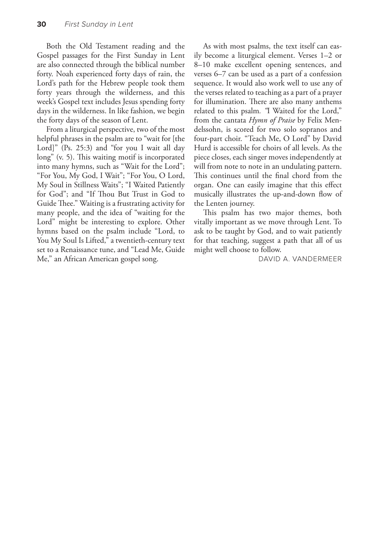Both the Old Testament reading and the Gospel passages for the First Sunday in Lent are also connected through the biblical number forty. Noah experienced forty days of rain, the Lord's path for the Hebrew people took them forty years through the wilderness, and this week's Gospel text includes Jesus spending forty days in the wilderness. In like fashion, we begin the forty days of the season of Lent.

From a liturgical perspective, two of the most helpful phrases in the psalm are to "wait for [the Lord]" (Ps. 25:3) and "for you I wait all day long" (v. 5). This waiting motif is incorporated into many hymns, such as "Wait for the Lord"; "For You, My God, I Wait"; "For You, O Lord, My Soul in Stillness Waits"; "I Waited Patiently for God"; and "If Thou But Trust in God to Guide Thee." Waiting is a frustrating activity for many people, and the idea of "waiting for the Lord" might be interesting to explore. Other hymns based on the psalm include "Lord, to You My Soul Is Lifted," a twentieth-century text set to a Renaissance tune, and "Lead Me, Guide Me," an African American gospel song.

As with most psalms, the text itself can easily become a liturgical element. Verses 1–2 or 8–10 make excellent opening sentences, and verses 6–7 can be used as a part of a confession sequence. It would also work well to use any of the verses related to teaching as a part of a prayer for illumination. There are also many anthems related to this psalm*. "*I Waited for the Lord," from the cantata *Hymn of Praise* by Felix Mendelssohn, is scored for two solo sopranos and four-part choir. "Teach Me, O Lord" by David Hurd is accessible for choirs of all levels. As the piece closes, each singer moves independently at will from note to note in an undulating pattern. This continues until the final chord from the organ. One can easily imagine that this effect musically illustrates the up-and-down flow of the Lenten journey.

This psalm has two major themes, both vitally important as we move through Lent. To ask to be taught by God, and to wait patiently for that teaching, suggest a path that all of us might well choose to follow.

DAVID A. VANDERMEER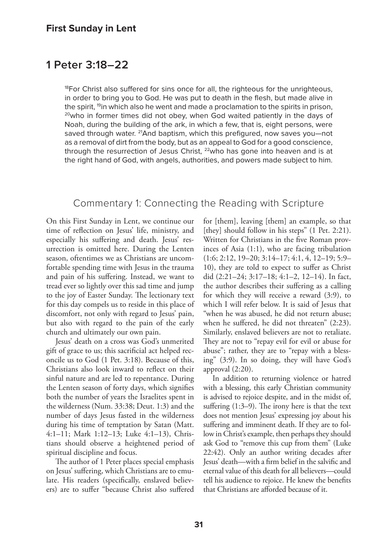### **1 Peter 3:18–22**

<sup>18</sup>For Christ also suffered for sins once for all, the righteous for the unrighteous, in order to bring you to God. He was put to death in the flesh, but made alive in the spirit, <sup>19</sup>in which also he went and made a proclamation to the spirits in prison,  $^{20}$ who in former times did not obey, when God waited patiently in the days of Noah, during the building of the ark, in which a few, that is, eight persons, were saved through water. <sup>21</sup>And baptism, which this prefigured, now saves you—not as a removal of dirt from the body, but as an appeal to God for a good conscience, through the resurrection of Jesus Christ, <sup>22</sup>who has gone into heaven and is at the right hand of God, with angels, authorities, and powers made subject to him.

#### Commentary 1: Connecting the Reading with Scripture

On this First Sunday in Lent, we continue our time of reflection on Jesus' life, ministry, and especially his suffering and death. Jesus' resurrection is omitted here. During the Lenten season, oftentimes we as Christians are uncomfortable spending time with Jesus in the trauma and pain of his suffering. Instead, we want to tread ever so lightly over this sad time and jump to the joy of Easter Sunday. The lectionary text for this day compels us to reside in this place of discomfort, not only with regard to Jesus' pain, but also with regard to the pain of the early church and ultimately our own pain.

Jesus' death on a cross was God's unmerited gift of grace to us; this sacrificial act helped reconcile us to God (1 Pet. 3:18). Because of this, Christians also look inward to reflect on their sinful nature and are led to repentance. During the Lenten season of forty days, which signifies both the number of years the Israelites spent in the wilderness (Num. 33:38; Deut. 1:3) and the number of days Jesus fasted in the wilderness during his time of temptation by Satan (Matt. 4:1–11; Mark 1:12–13; Luke 4:1–13), Christians should observe a heightened period of spiritual discipline and focus.

The author of 1 Peter places special emphasis on Jesus' suffering, which Christians are to emulate. His readers (specifically, enslaved believers) are to suffer "because Christ also suffered for [them], leaving [them] an example, so that [they] should follow in his steps" (1 Pet. 2:21). Written for Christians in the five Roman provinces of Asia (1:1), who are facing tribulation (1:6; 2:12, 19–20; 3:14–17; 4:1, 4, 12–19; 5:9– 10), they are told to expect to suffer as Christ did (2:21–24; 3:17–18; 4:1–2, 12–14). In fact, the author describes their suffering as a calling for which they will receive a reward (3:9), to which I will refer below. It is said of Jesus that "when he was abused, he did not return abuse; when he suffered, he did not threaten" (2:23). Similarly, enslaved believers are not to retaliate. They are not to "repay evil for evil or abuse for abuse"; rather, they are to "repay with a blessing" (3:9). In so doing, they will have God's approval (2:20).

In addition to returning violence or hatred with a blessing, this early Christian community is advised to rejoice despite, and in the midst of, suffering (1:3–9). The irony here is that the text does not mention Jesus' expressing joy about his suffering and imminent death. If they are to follow in Christ's example, then perhaps they should ask God to "remove this cup from them" (Luke 22:42). Only an author writing decades after Jesus' death—with a firm belief in the salvific and eternal value of this death for all believers—could tell his audience to rejoice. He knew the benefits that Christians are afforded because of it.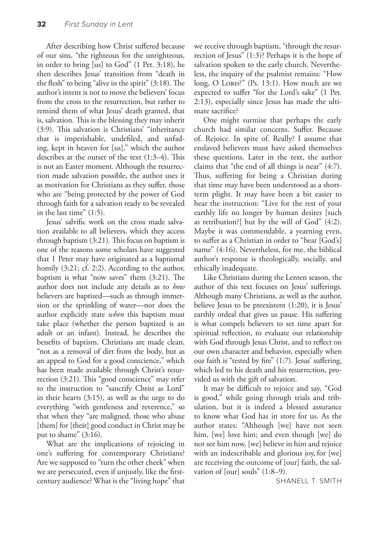After describing how Christ suffered because of our sins, "the righteous for the unrighteous, in order to bring [us] to God" (1 Pet. 3:18), he then describes Jesus' transition from "death in the flesh" to being "alive in the spirit" (3:18). The author's intent is not to move the believers' focus from the cross to the resurrection, but rather to remind them of what Jesus' death granted, that is, salvation. This is the blessing they may inherit (3:9). This salvation is Christians' "inheritance that is imperishable, undefiled, and unfading, kept in heaven for [us]," which the author describes at the outset of the text (1:3–4). This is not an Easter moment. Although the resurrection made salvation possible, the author uses it as motivation for Christians as they suffer, those who are "being protected by the power of God through faith for a salvation ready to be revealed in the last time" (1:5).

Jesus' salvific work on the cross made salvation available to all believers, which they access through baptism (3:21). This focus on baptism is one of the reasons some scholars have suggested that 1 Peter may have originated as a baptismal homily  $(3:21; cf. 2:2)$ . According to the author, baptism is what "now saves" them (3:21). The author does not include any details as to *how* believers are baptized—such as through immersion or the sprinkling of water—nor does the author explicitly state *when* this baptism must take place (whether the person baptized is an adult or an infant). Instead, he describes the benefits of baptism. Christians are made clean, "not as a removal of dirt from the body, but as an appeal to God for a good conscience," which has been made available through Christ's resurrection (3:21). This "good conscience" may refer to the instruction to "sanctify Christ as Lord" in their hearts (3:15), as well as the urge to do everything "with gentleness and reverence," so that when they "are maligned, those who abuse [them] for [their] good conduct in Christ may be put to shame" (3:16).

What are the implications of rejoicing in one's suffering for contemporary Christians? Are we supposed to "turn the other cheek" when we are persecuted, even if unjustly, like the firstcentury audience? What is the "living hope" that we receive through baptism, "through the resurrection of Jesus" (1:3)? Perhaps it is the hope of salvation spoken to the early church. Nevertheless, the inquiry of the psalmist remains: "How long, O Lord?" (Ps. 13:1). How much are we expected to suffer "for the Lord's sake" (1 Pet. 2:13), especially since Jesus has made the ultimate sacrifice?

One might surmise that perhaps the early church had similar concerns. Suffer. Because of. Rejoice. In spite of. Really? I assume that enslaved believers must have asked themselves these questions. Later in the text, the author claims that "the end of all things is near" (4:7). Thus, suffering for being a Christian during that time may have been understood as a shortterm plight. It may have been a bit easier to hear the instruction: "Live for the rest of your earthly life no longer by human desires [such as retribution?] but by the will of God" (4:2). Maybe it was commendable, a yearning even, to suffer as a Christian in order to "bear [God's] name" (4:16). Nevertheless, for me, the biblical author's response is theologically, socially, and ethically inadequate.

Like Christians during the Lenten season, the author of this text focuses on Jesus' sufferings. Although many Christians, as well as the author, believe Jesus to be preexistent (1:20), it is Jesus' earthly ordeal that gives us pause. His suffering is what compels believers to set time apart for spiritual reflection, to evaluate our relationship with God through Jesus Christ, and to reflect on our own character and behavior, especially when our faith is "tested by fire" (1:7). Jesus' suffering, which led to his death and his resurrection, provided us with the gift of salvation.

It may be difficult to rejoice and say, "God is good," while going through trials and tribulation, but it is indeed a blessed assurance to know what God has in store for us. As the author states: "Although [we] have not seen him, [we] love him; and even though [we] do not see him now, [we] believe in him and rejoice with an indescribable and glorious joy, for [we] are receiving the outcome of [our] faith, the salvation of [our] souls" (1:8–9).

SHANELL T. SMITH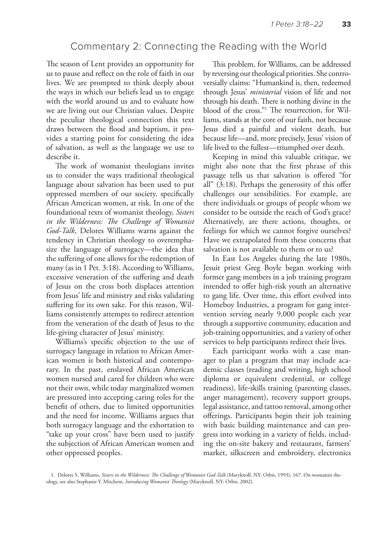#### Commentary 2: Connecting the Reading with the World

The season of Lent provides an opportunity for us to pause and reflect on the role of faith in our lives. We are prompted to think deeply about the ways in which our beliefs lead us to engage with the world around us and to evaluate how we are living out our Christian values. Despite the peculiar theological connection this text draws between the flood and baptism, it provides a starting point for considering the idea of salvation, as well as the language we use to describe it.

The work of womanist theologians invites us to consider the ways traditional theological language about salvation has been used to put oppressed members of our society, specifically African American women, at risk. In one of the foundational texts of womanist theology, *Sisters in the Wilderness: The Challenge of Womanist God-Talk*, Delores Williams warns against the tendency in Christian theology to overemphasize the language of surrogacy—the idea that the suffering of one allows for the redemption of many (as in 1 Pet. 3:18). According to Williams, excessive veneration of the suffering and death of Jesus on the cross both displaces attention from Jesus' life and ministry and risks validating suffering for its own sake. For this reason, Williams consistently attempts to redirect attention from the veneration of the death of Jesus to the life-giving character of Jesus' ministry.

Williams's specific objection to the use of surrogacy language in relation to African American women is both historical and contemporary. In the past, enslaved African American women nursed and cared for children who were not their own, while today marginalized women are pressured into accepting caring roles for the benefit of others, due to limited opportunities and the need for income. Williams argues that both surrogacy language and the exhortation to "take up your cross" have been used to justify the subjection of African American women and other oppressed peoples.

This problem, for Williams, can be addressed by reversing our theological priorities. She controversially claims: "Humankind is, then, redeemed through Jesus' *ministerial* vision of life and not through his death. There is nothing divine in the blood of the cross."1 The resurrection, for Williams, stands at the core of our faith, not because Jesus died a painful and violent death, but because life—and, more precisely, Jesus' vision of life lived to the fullest—triumphed over death.

Keeping in mind this valuable critique, we might also note that the first phrase of this passage tells us that salvation is offered "for all" (3:18). Perhaps the generosity of this offer challenges our sensibilities. For example, are there individuals or groups of people whom we consider to be outside the reach of God's grace? Alternatively, are there actions, thoughts, or feelings for which we cannot forgive ourselves? Have we extrapolated from these concerns that salvation is not available to them or to us?

In East Los Angeles during the late 1980s, Jesuit priest Greg Boyle began working with former gang members in a job training program intended to offer high-risk youth an alternative to gang life. Over time, this effort evolved into Homeboy Industries, a program for gang intervention serving nearly 9,000 people each year through a supportive community, education and job-training opportunities, and a variety of other services to help participants redirect their lives.

Each participant works with a case manager to plan a program that may include academic classes (reading and writing, high school diploma or equivalent credential, or college readiness), life-skills training (parenting classes, anger management), recovery support groups, legal assistance, and tattoo removal, among other offerings. Participants begin their job training with basic building maintenance and can progress into working in a variety of fields, including the on-site bakery and restaurant, farmers' market, silkscreen and embroidery, electronics

<sup>1.</sup> Delores S. Williams, *Sisters in the Wilderness: The Challenge of Womanist God-Talk* (Maryknoll, NY: Orbis, 1993), 167. On womanist theology, see also Stephanie Y. Mitchem, *Introducing Womanist Theology* (Maryknoll, NY: Orbis, 2002).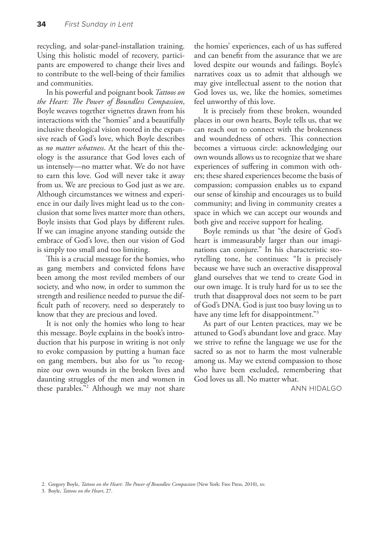recycling, and solar-panel-installation training. Using this holistic model of recovery, participants are empowered to change their lives and to contribute to the well-being of their families and communities.

In his powerful and poignant book *Tattoos on the Heart: The Power of Boundless Compassion*, Boyle weaves together vignettes drawn from his interactions with the "homies" and a beautifully inclusive theological vision rooted in the expansive reach of God's love, which Boyle describes as *no matter whatness*. At the heart of this theology is the assurance that God loves each of us intensely—no matter what. We do not have to earn this love. God will never take it away from us. We are precious to God just as we are. Although circumstances we witness and experience in our daily lives might lead us to the conclusion that some lives matter more than others, Boyle insists that God plays by different rules. If we can imagine anyone standing outside the embrace of God's love, then our vision of God is simply too small and too limiting.

This is a crucial message for the homies, who as gang members and convicted felons have been among the most reviled members of our society, and who now, in order to summon the strength and resilience needed to pursue the difficult path of recovery, need so desperately to know that they are precious and loved.

It is not only the homies who long to hear this message. Boyle explains in the book's introduction that his purpose in writing is not only to evoke compassion by putting a human face on gang members, but also for us "to recognize our own wounds in the broken lives and daunting struggles of the men and women in these parables."2 Although we may not share the homies' experiences, each of us has suffered and can benefit from the assurance that we are loved despite our wounds and failings. Boyle's narratives coax us to admit that although we may give intellectual assent to the notion that God loves us, we, like the homies, sometimes feel unworthy of this love.

It is precisely from these broken, wounded places in our own hearts, Boyle tells us, that we can reach out to connect with the brokenness and woundedness of others. This connection becomes a virtuous circle: acknowledging our own wounds allows us to recognize that we share experiences of suffering in common with others; these shared experiences become the basis of compassion; compassion enables us to expand our sense of kinship and encourages us to build community; and living in community creates a space in which we can accept our wounds and both give and receive support for healing.

Boyle reminds us that "the desire of God's heart is immeasurably larger than our imaginations can conjure." In his characteristic storytelling tone, he continues: "It is precisely because we have such an overactive disapproval gland ourselves that we tend to create God in our own image. It is truly hard for us to see the truth that disapproval does not seem to be part of God's DNA. God is just too busy loving us to have any time left for disappointment."<sup>3</sup>

As part of our Lenten practices, may we be attuned to God's abundant love and grace. May we strive to refine the language we use for the sacred so as not to harm the most vulnerable among us. May we extend compassion to those who have been excluded, remembering that God loves us all. No matter what.

ANN HIDALGO

2. Gregory Boyle, *Tattoos on the Heart: The Power of Boundless Compassion* (New York: Free Press, 2010), xv.

3. Boyle, *Tattoos on the Heart*, 27.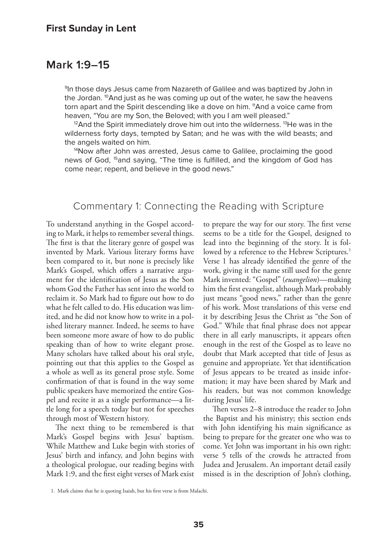### **Mark 1:9–15**

9In those days Jesus came from Nazareth of Galilee and was baptized by John in the Jordan. <sup>10</sup>And just as he was coming up out of the water, he saw the heavens torn apart and the Spirit descending like a dove on him. <sup>11</sup>And a voice came from heaven, "You are my Son, the Beloved; with you I am well pleased."

 $12$ And the Spirit immediately drove him out into the wilderness.  $13$ He was in the wilderness forty days, tempted by Satan; and he was with the wild beasts; and the angels waited on him.

<sup>14</sup>Now after John was arrested, Jesus came to Galilee, proclaiming the good news of God, 15and saying, "The time is fulfilled, and the kingdom of God has come near; repent, and believe in the good news."

#### Commentary 1: Connecting the Reading with Scripture

To understand anything in the Gospel according to Mark, it helps to remember several things. The first is that the literary genre of gospel was invented by Mark. Various literary forms have been compared to it, but none is precisely like Mark's Gospel, which offers a narrative argument for the identification of Jesus as the Son whom God the Father has sent into the world to reclaim it. So Mark had to figure out how to do what he felt called to do. His education was limited, and he did not know how to write in a polished literary manner. Indeed, he seems to have been someone more aware of how to do public speaking than of how to write elegant prose. Many scholars have talked about his oral style, pointing out that this applies to the Gospel as a whole as well as its general prose style. Some confirmation of that is found in the way some public speakers have memorized the entire Gospel and recite it as a single performance—a little long for a speech today but not for speeches through most of Western history.

The next thing to be remembered is that Mark's Gospel begins with Jesus' baptism. While Matthew and Luke begin with stories of Jesus' birth and infancy, and John begins with a theological prologue, our reading begins with Mark 1:9, and the first eight verses of Mark exist

to prepare the way for our story. The first verse seems to be a title for the Gospel, designed to lead into the beginning of the story. It is followed by a reference to the Hebrew Scriptures.<sup>1</sup> Verse 1 has already identified the genre of the work, giving it the name still used for the genre Mark invented: "Gospel" (*euangelion*)—making him the first evangelist, although Mark probably just means "good news," rather than the genre of his work. Most translations of this verse end it by describing Jesus the Christ as "the Son of God." While that final phrase does not appear there in all early manuscripts, it appears often enough in the rest of the Gospel as to leave no doubt that Mark accepted that title of Jesus as genuine and appropriate. Yet that identification of Jesus appears to be treated as inside information; it may have been shared by Mark and his readers, but was not common knowledge during Jesus' life.

Then verses 2–8 introduce the reader to John the Baptist and his ministry; this section ends with John identifying his main significance as being to prepare for the greater one who was to come. Yet John was important in his own right: verse 5 tells of the crowds he attracted from Judea and Jerusalem. An important detail easily missed is in the description of John's clothing,

<sup>1.</sup> Mark claims that he is quoting Isaiah, but his first verse is from Malachi.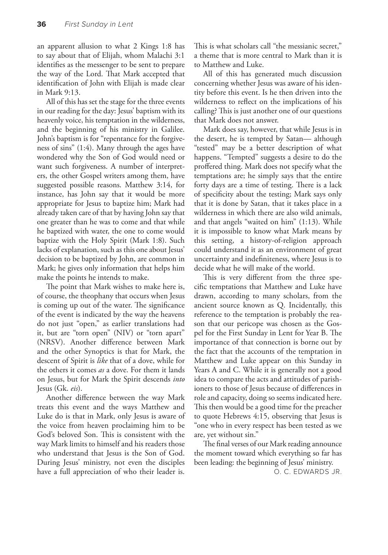an apparent allusion to what 2 Kings 1:8 has to say about that of Elijah, whom Malachi 3:1 identifies as the messenger to be sent to prepare the way of the Lord. That Mark accepted that identification of John with Elijah is made clear in Mark 9:13.

All of this has set the stage for the three events in our reading for the day: Jesus' baptism with its heavenly voice, his temptation in the wilderness, and the beginning of his ministry in Galilee. John's baptism is for "repentance for the forgiveness of sins" (1:4). Many through the ages have wondered why the Son of God would need or want such forgiveness. A number of interpreters, the other Gospel writers among them, have suggested possible reasons. Matthew 3:14, for instance, has John say that it would be more appropriate for Jesus to baptize him; Mark had already taken care of that by having John say that one greater than he was to come and that while he baptized with water, the one to come would baptize with the Holy Spirit (Mark 1:8). Such lacks of explanation, such as this one about Jesus' decision to be baptized by John, are common in Mark; he gives only information that helps him make the points he intends to make.

The point that Mark wishes to make here is, of course, the theophany that occurs when Jesus is coming up out of the water. The significance of the event is indicated by the way the heavens do not just "open," as earlier translations had it, but are "torn open" (NIV) or "torn apart" (NRSV). Another difference between Mark and the other Synoptics is that for Mark, the descent of Spirit is *like* that of a dove, while for the others it comes *as* a dove. For them it lands on Jesus, but for Mark the Spirit descends *into* Jesus (Gk. *eis*).

Another difference between the way Mark treats this event and the ways Matthew and Luke do is that in Mark, only Jesus is aware of the voice from heaven proclaiming him to be God's beloved Son. This is consistent with the way Mark limits to himself and his readers those who understand that Jesus is the Son of God. During Jesus' ministry, not even the disciples have a full appreciation of who their leader is.

This is what scholars call "the messianic secret," a theme that is more central to Mark than it is to Matthew and Luke.

All of this has generated much discussion concerning whether Jesus was aware of his identity before this event. Is he then driven into the wilderness to reflect on the implications of his calling? This is just another one of our questions that Mark does not answer.

Mark does say, however, that while Jesus is in the desert, he is tempted by Satan— although "tested" may be a better description of what happens. "Tempted" suggests a desire to do the proffered thing. Mark does not specify what the temptations are; he simply says that the entire forty days are a time of testing. There is a lack of specificity about the testing; Mark says only that it is done by Satan, that it takes place in a wilderness in which there are also wild animals, and that angels "waited on him" (1:13). While it is impossible to know what Mark means by this setting, a history-of-religion approach could understand it as an environment of great uncertainty and indefiniteness, where Jesus is to decide what he will make of the world.

This is very different from the three specific temptations that Matthew and Luke have drawn, according to many scholars, from the ancient source known as Q. Incidentally, this reference to the temptation is probably the reason that our pericope was chosen as the Gospel for the First Sunday in Lent for Year B. The importance of that connection is borne out by the fact that the accounts of the temptation in Matthew and Luke appear on this Sunday in Years A and C. While it is generally not a good idea to compare the acts and attitudes of parishioners to those of Jesus because of differences in role and capacity, doing so seems indicated here. This then would be a good time for the preacher to quote Hebrews 4:15, observing that Jesus is "one who in every respect has been tested as we are, yet without sin."

The final verses of our Mark reading announce the moment toward which everything so far has been leading: the beginning of Jesus' ministry.

O. C. EDWARDS JR.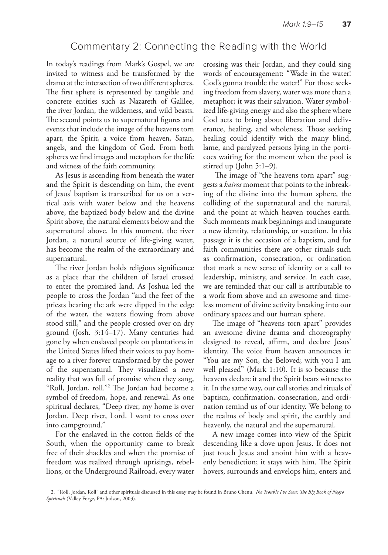#### Commentary 2: Connecting the Reading with the World

In today's readings from Mark's Gospel, we are invited to witness and be transformed by the drama at the intersection of two different spheres. The first sphere is represented by tangible and concrete entities such as Nazareth of Galilee, the river Jordan, the wilderness, and wild beasts. The second points us to supernatural figures and events that include the image of the heavens torn apart, the Spirit, a voice from heaven, Satan, angels, and the kingdom of God. From both spheres we find images and metaphors for the life and witness of the faith community.

As Jesus is ascending from beneath the water and the Spirit is descending on him, the event of Jesus' baptism is transcribed for us on a vertical axis with water below and the heavens above, the baptized body below and the divine Spirit above, the natural elements below and the supernatural above. In this moment, the river Jordan, a natural source of life-giving water, has become the realm of the extraordinary and supernatural.

The river Jordan holds religious significance as a place that the children of Israel crossed to enter the promised land. As Joshua led the people to cross the Jordan "and the feet of the priests bearing the ark were dipped in the edge of the water, the waters flowing from above stood still," and the people crossed over on dry ground (Josh. 3:14–17). Many centuries had gone by when enslaved people on plantations in the United States lifted their voices to pay homage to a river forever transformed by the power of the supernatural. They visualized a new reality that was full of promise when they sang, "Roll, Jordan, roll."2 The Jordan had become a symbol of freedom, hope, and renewal. As one spiritual declares, "Deep river, my home is over Jordan. Deep river, Lord. I want to cross over into campground."

For the enslaved in the cotton fields of the South, when the opportunity came to break free of their shackles and when the promise of freedom was realized through uprisings, rebellions, or the Underground Railroad, every water

crossing was their Jordan, and they could sing words of encouragement: "Wade in the water! God's gonna trouble the water!" For those seeking freedom from slavery, water was more than a metaphor; it was their salvation. Water symbolized life-giving energy and also the sphere where God acts to bring about liberation and deliverance, healing, and wholeness. Those seeking healing could identify with the many blind, lame, and paralyzed persons lying in the porticoes waiting for the moment when the pool is stirred up (John 5:1–9).

The image of "the heavens torn apart" suggests a *kairos* moment that points to the inbreaking of the divine into the human sphere, the colliding of the supernatural and the natural, and the point at which heaven touches earth. Such moments mark beginnings and inaugurate a new identity, relationship, or vocation. In this passage it is the occasion of a baptism, and for faith communities there are other rituals such as confirmation, consecration, or ordination that mark a new sense of identity or a call to leadership, ministry, and service. In each case, we are reminded that our call is attributable to a work from above and an awesome and timeless moment of divine activity breaking into our ordinary spaces and our human sphere.

The image of "heavens torn apart" provides an awesome divine drama and choreography designed to reveal, affirm, and declare Jesus' identity. The voice from heaven announces it: "You are my Son, the Beloved; with you I am well pleased" (Mark 1:10). It is so because the heavens declare it and the Spirit bears witness to it. In the same way, our call stories and rituals of baptism, confirmation, consecration, and ordination remind us of our identity. We belong to the realms of body and spirit, the earthly and heavenly, the natural and the supernatural.

A new image comes into view of the Spirit descending like a dove upon Jesus. It does not just touch Jesus and anoint him with a heavenly benediction; it stays with him. The Spirit hovers, surrounds and envelops him, enters and

<sup>2.</sup> "Roll, Jordan, Roll" and other spirituals discussed in this essay may be found in Bruno Chenu, *The Trouble I've Seen: The Big Book of Negro Spirituals* (Valley Forge, PA: Judson, 2003).